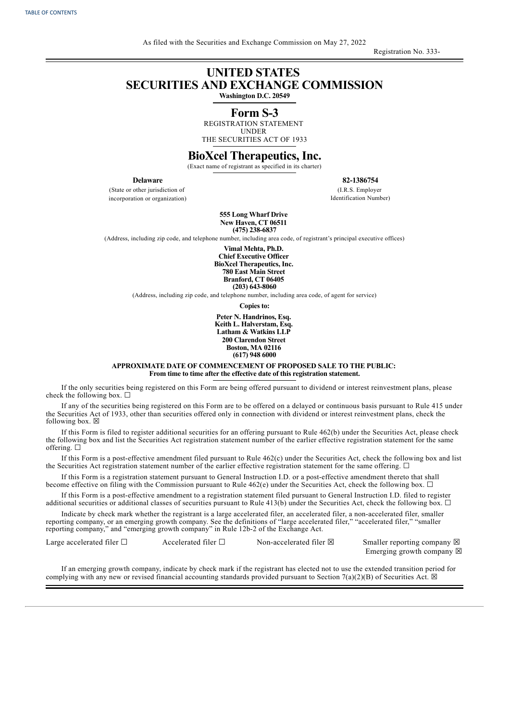Registration No. 333-

## **UNITED STATES SECURITIES AND EXCHANGE COMMISSION**

**Washington D.C. 20549**

## **Form S-3**

REGISTRATION STATEMENT UNDER THE SECURITIES ACT OF 1933

## **BioXcel Therapeutics, Inc.**

(Exact name of registrant as specified in its charter)

**Delaware**

(State or other jurisdiction of incorporation or organization) **82-1386754**

(I.R.S. Employer Identification Number)

**555 Long Wharf Drive New Haven, CT 06511 (475) 238-6837**

(Address, including zip code, and telephone number, including area code, of registrant's principal executive offices)

**Vimal Mehta, Ph.D.**

**Chief Executive Officer BioXcel Therapeutics, Inc. 780 East Main Street Branford, CT 06405 (203) 643-8060**

(Address, including zip code, and telephone number, including area code, of agent for service)

**Copies to:**

**Peter N. Handrinos, Esq. Keith L. Halverstam, Esq. Latham & Watkins LLP 200 Clarendon Street Boston, MA 02116 (617) 948 6000**

**APPROXIMATE DATE OF COMMENCEMENT OF PROPOSED SALE TO THE PUBLIC: From time to time after the effective date of this registration statement.**

If the only securities being registered on this Form are being offered pursuant to dividend or interest reinvestment plans, please check the following box.  $\Box$ 

If any of the securities being registered on this Form are to be offered on a delayed or continuous basis pursuant to Rule 415 under the Securities Act of 1933, other than securities offered only in connection with dividend or interest reinvestment plans, check the following box.  $\boxtimes$ 

If this Form is filed to register additional securities for an offering pursuant to Rule 462(b) under the Securities Act, please check the following box and list the Securities Act registration statement number of the earlier effective registration statement for the same offering.  $\square$ 

If this Form is a post-effective amendment filed pursuant to Rule 462(c) under the Securities Act, check the following box and list the Securities Act registration statement number of the earlier effective registration statement for the same offering.  $\Box$ 

If this Form is a registration statement pursuant to General Instruction I.D. or a post-effective amendment thereto that shall become effective on filing with the Commission pursuant to Rule  $462(e)$  under the Securities Act, check the following box.  $\Box$ 

If this Form is a post-effective amendment to a registration statement filed pursuant to General Instruction I.D. filed to register additional securities or additional classes of securities pursuant to Rule 413(b) under the Securities Act, check the following box.  $\Box$ 

Indicate by check mark whether the registrant is a large accelerated filer, an accelerated filer, a non-accelerated filer, smaller reporting company, or an emerging growth company. See the definitions of "large accelerated filer," "accelerated filer," "smaller reporting company," and "emerging growth company" in Rule 12b-2 of the Exchange Act.

Large accelerated filer  $\Box$  Accelerated filer  $\Box$  Non-accelerated filer  $\boxtimes$  Smaller reporting company  $\boxtimes$ 

Emerging growth company  $\boxtimes$ 

If an emerging growth company, indicate by check mark if the registrant has elected not to use the extended transition period for complying with any new or revised financial accounting standards provided pursuant to Section 7(a)(2)(B) of Securities Act.  $\boxtimes$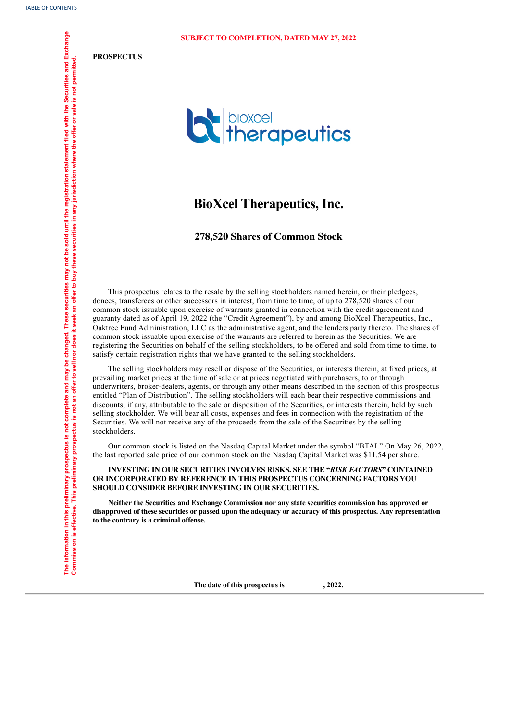**PROSPECTUS**



## **BioXcel Therapeutics, Inc.**

## **278,520 Shares of Common Stock**

This prospectus relates to the resale by the selling stockholders named herein, or their pledgees, donees, transferees or other successors in interest, from time to time, of up to 278,520 shares of our common stock issuable upon exercise of warrants granted in connection with the credit agreement and guaranty dated as of April 19, 2022 (the "Credit Agreement"), by and among BioXcel Therapeutics, Inc., Oaktree Fund Administration, LLC as the administrative agent, and the lenders party thereto. The shares of common stock issuable upon exercise of the warrants are referred to herein as the Securities. We are registering the Securities on behalf of the selling stockholders, to be offered and sold from time to time, to satisfy certain registration rights that we have granted to the selling stockholders.

The selling stockholders may resell or dispose of the Securities, or interests therein, at fixed prices, at prevailing market prices at the time of sale or at prices negotiated with purchasers, to or through underwriters, broker-dealers, agents, or through any other means described in the section of this prospectus entitled "Plan of Distribution". The selling stockholders will each bear their respective commissions and discounts, if any, attributable to the sale or disposition of the Securities, or interests therein, held by such selling stockholder. We will bear all costs, expenses and fees in connection with the registration of the Securities. We will not receive any of the proceeds from the sale of the Securities by the selling stockholders.

Our common stock is listed on the Nasdaq Capital Market under the symbol "BTAI." On May 26, 2022, the last reported sale price of our common stock on the Nasdaq Capital Market was \$11.54 per share.

**INVESTING IN OUR SECURITIES INVOLVES RISKS. SEE THE "***RISK FACTORS***" CONTAINED OR INCORPORATED BY REFERENCE IN THIS PROSPECTUS CONCERNING FACTORS YOU SHOULD CONSIDER BEFORE INVESTING IN OUR SECURITIES.**

**Neither the Securities and Exchange Commission nor any state securities commission has approved or disapproved of these securities or passed upon the adequacy or accuracy of this prospectus. Any representation to the contrary is a criminal offense.**

<span id="page-1-0"></span>**The date of this prospectus is , 2022.**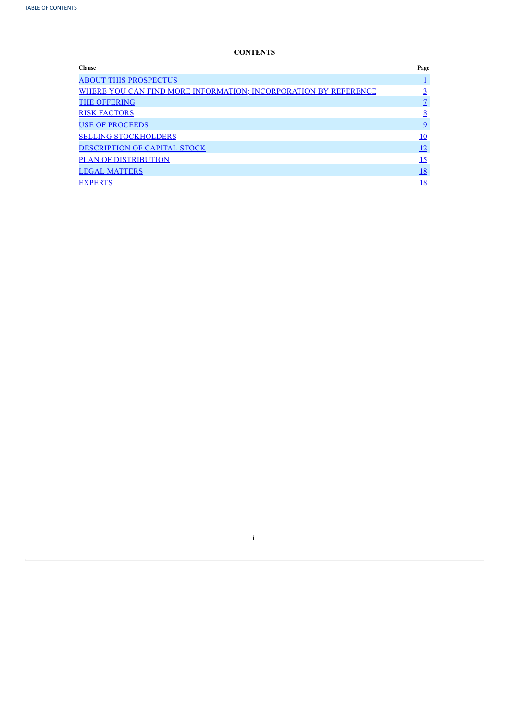## **CONTENTS**

| <b>Clause</b>                                                   | Page            |
|-----------------------------------------------------------------|-----------------|
| <b>ABOUT THIS PROSPECTUS</b>                                    |                 |
| WHERE YOU CAN FIND MORE INFORMATION; INCORPORATION BY REFERENCE |                 |
| <b>THE OFFERING</b>                                             |                 |
| <b>RISK FACTORS</b>                                             | $\underline{8}$ |
| <b>USE OF PROCEEDS</b>                                          | $\overline{9}$  |
| <b>SELLING STOCKHOLDERS</b>                                     | 10              |
| DESCRIPTION OF CAPITAL STOCK                                    | <u>12</u>       |
| <b>PLAN OF DISTRIBUTION</b>                                     | <u> 15</u>      |
| <b>LEGAL MATTERS</b>                                            | 18              |
| <b>EXPERTS</b>                                                  | 18              |
|                                                                 |                 |

<span id="page-2-0"></span>i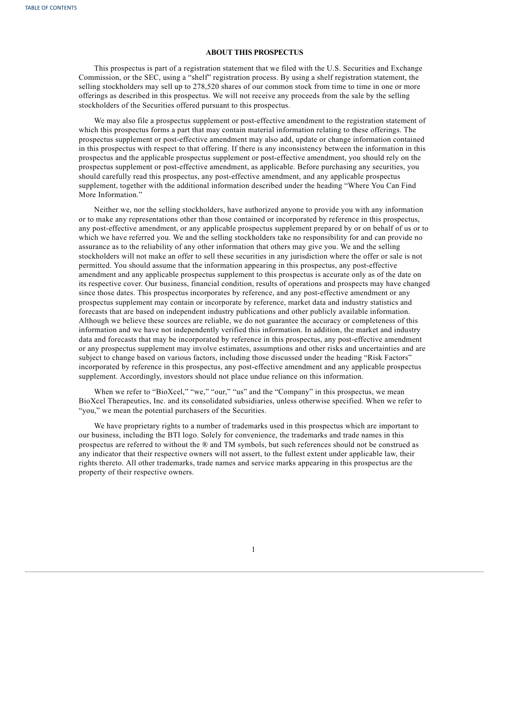## **ABOUT THIS PROSPECTUS**

This prospectus is part of a registration statement that we filed with the U.S. Securities and Exchange Commission, or the SEC, using a "shelf" registration process. By using a shelf registration statement, the selling stockholders may sell up to 278,520 shares of our common stock from time to time in one or more offerings as described in this prospectus. We will not receive any proceeds from the sale by the selling stockholders of the Securities offered pursuant to this prospectus.

We may also file a prospectus supplement or post-effective amendment to the registration statement of which this prospectus forms a part that may contain material information relating to these offerings. The prospectus supplement or post-effective amendment may also add, update or change information contained in this prospectus with respect to that offering. If there is any inconsistency between the information in this prospectus and the applicable prospectus supplement or post-effective amendment, you should rely on the prospectus supplement or post-effective amendment, as applicable. Before purchasing any securities, you should carefully read this prospectus, any post-effective amendment, and any applicable prospectus supplement, together with the additional information described under the heading "Where You Can Find More Information."

Neither we, nor the selling stockholders, have authorized anyone to provide you with any information or to make any representations other than those contained or incorporated by reference in this prospectus, any post-effective amendment, or any applicable prospectus supplement prepared by or on behalf of us or to which we have referred you. We and the selling stockholders take no responsibility for and can provide no assurance as to the reliability of any other information that others may give you. We and the selling stockholders will not make an offer to sell these securities in any jurisdiction where the offer or sale is not permitted. You should assume that the information appearing in this prospectus, any post-effective amendment and any applicable prospectus supplement to this prospectus is accurate only as of the date on its respective cover. Our business, financial condition, results of operations and prospects may have changed since those dates. This prospectus incorporates by reference, and any post-effective amendment or any prospectus supplement may contain or incorporate by reference, market data and industry statistics and forecasts that are based on independent industry publications and other publicly available information. Although we believe these sources are reliable, we do not guarantee the accuracy or completeness of this information and we have not independently verified this information. In addition, the market and industry data and forecasts that may be incorporated by reference in this prospectus, any post-effective amendment or any prospectus supplement may involve estimates, assumptions and other risks and uncertainties and are subject to change based on various factors, including those discussed under the heading "Risk Factors" incorporated by reference in this prospectus, any post-effective amendment and any applicable prospectus supplement. Accordingly, investors should not place undue reliance on this information.

When we refer to "BioXcel," "we," "our," "us" and the "Company" in this prospectus, we mean BioXcel Therapeutics, Inc. and its consolidated subsidiaries, unless otherwise specified. When we refer to "you," we mean the potential purchasers of the Securities.

We have proprietary rights to a number of trademarks used in this prospectus which are important to our business, including the BTI logo. Solely for convenience, the trademarks and trade names in this prospectus are referred to without the ® and TM symbols, but such references should not be construed as any indicator that their respective owners will not assert, to the fullest extent under applicable law, their rights thereto. All other trademarks, trade names and service marks appearing in this prospectus are the property of their respective owners.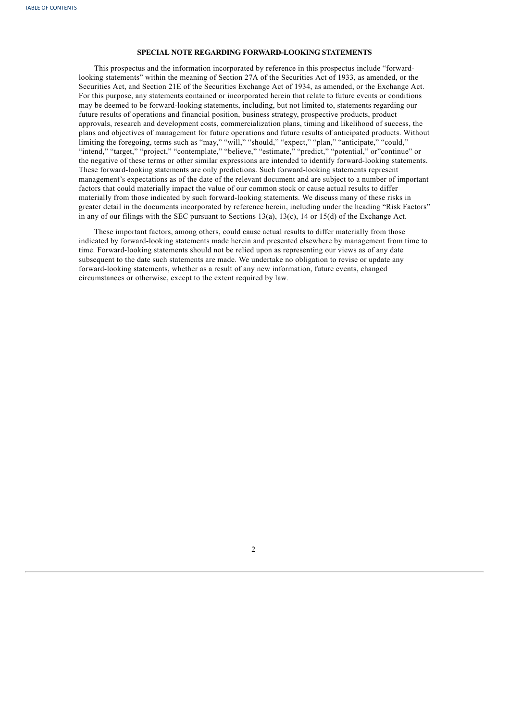## **SPECIAL NOTE REGARDING FORWARD-LOOKING STATEMENTS**

This prospectus and the information incorporated by reference in this prospectus include "forwardlooking statements" within the meaning of Section 27A of the Securities Act of 1933, as amended, or the Securities Act, and Section 21E of the Securities Exchange Act of 1934, as amended, or the Exchange Act. For this purpose, any statements contained or incorporated herein that relate to future events or conditions may be deemed to be forward-looking statements, including, but not limited to, statements regarding our future results of operations and financial position, business strategy, prospective products, product approvals, research and development costs, commercialization plans, timing and likelihood of success, the plans and objectives of management for future operations and future results of anticipated products. Without limiting the foregoing, terms such as "may," "will," "should," "expect," "plan," "anticipate," "could," "intend," "target," "project," "contemplate," "believe," "estimate," "predict," "potential," or"continue" or the negative of these terms or other similar expressions are intended to identify forward-looking statements. These forward-looking statements are only predictions. Such forward-looking statements represent management's expectations as of the date of the relevant document and are subject to a number of important factors that could materially impact the value of our common stock or cause actual results to differ materially from those indicated by such forward-looking statements. We discuss many of these risks in greater detail in the documents incorporated by reference herein, including under the heading "Risk Factors" in any of our filings with the SEC pursuant to Sections 13(a), 13(c), 14 or 15(d) of the Exchange Act.

<span id="page-4-0"></span>These important factors, among others, could cause actual results to differ materially from those indicated by forward-looking statements made herein and presented elsewhere by management from time to time. Forward-looking statements should not be relied upon as representing our views as of any date subsequent to the date such statements are made. We undertake no obligation to revise or update any forward-looking statements, whether as a result of any new information, future events, changed circumstances or otherwise, except to the extent required by law.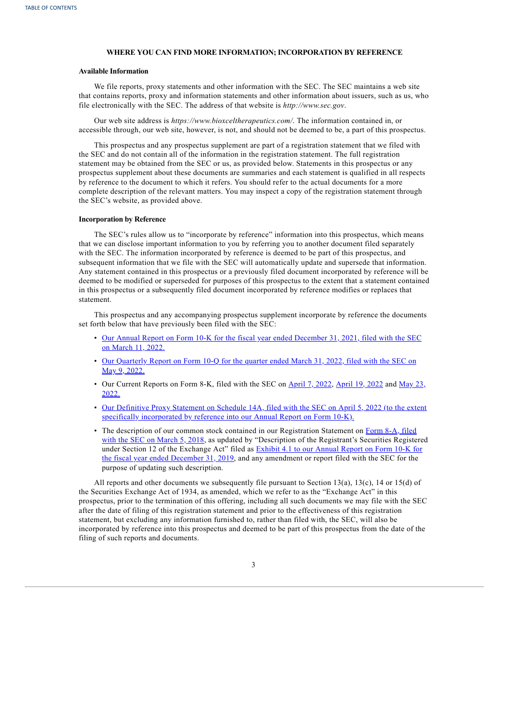## **WHERE YOU CAN FIND MORE INFORMATION; INCORPORATION BY REFERENCE**

#### **Available Information**

We file reports, proxy statements and other information with the SEC. The SEC maintains a web site that contains reports, proxy and information statements and other information about issuers, such as us, who file electronically with the SEC. The address of that website is *http://www.sec.gov*.

Our web site address is *https://www.bioxceltherapeutics.com/*. The information contained in, or accessible through, our web site, however, is not, and should not be deemed to be, a part of this prospectus.

This prospectus and any prospectus supplement are part of a registration statement that we filed with the SEC and do not contain all of the information in the registration statement. The full registration statement may be obtained from the SEC or us, as provided below. Statements in this prospectus or any prospectus supplement about these documents are summaries and each statement is qualified in all respects by reference to the document to which it refers. You should refer to the actual documents for a more complete description of the relevant matters. You may inspect a copy of the registration statement through the SEC's website, as provided above.

## **Incorporation by Reference**

The SEC's rules allow us to "incorporate by reference" information into this prospectus, which means that we can disclose important information to you by referring you to another document filed separately with the SEC. The information incorporated by reference is deemed to be part of this prospectus, and subsequent information that we file with the SEC will automatically update and supersede that information. Any statement contained in this prospectus or a previously filed document incorporated by reference will be deemed to be modified or superseded for purposes of this prospectus to the extent that a statement contained in this prospectus or a subsequently filed document incorporated by reference modifies or replaces that statement.

This prospectus and any accompanying prospectus supplement incorporate by reference the documents set forth below that have previously been filed with the SEC:

- Our Annual Report on Form 10-K for the fiscal year ended [December](https://www.sec.gov/ix?doc=/Archives/edgar/data/1720893/000155837022003335/btai-20211231x10k.htm) 31, 2021, filed with the SEC on March 11, 2022.
- Our [Quarterly](https://www.sec.gov/ix?doc=/Archives/edgar/data/1720893/000155837022007805/btai-20220331x10q.htm) Report on Form 10-Q for the quarter ended March 31, 2022, filed with the SEC on May 9, 2022.
- Our Current [Reports](https://www.sec.gov/ix?doc=/Archives/edgar/data/1720893/000110465922063932/tm2216628d1_8k.htm) on Form 8-K, filed with the SEC on [April](https://www.sec.gov/ix?doc=/Archives/edgar/data/1720893/000110465922047105/tm2212957d1_8k.htm) 7, 2022, April 19, 2022 and May 23, 2022.
- Our Definitive Proxy Statement on Schedule 14A, filed with the SEC on April 5, 2022 (to the extent specifically [incorporated](https://www.sec.gov/Archives/edgar/data/1720893/000110465922042568/tm223487-1_def14a.htm) by reference into our Annual Report on Form 10-K).
- The description of our common stock contained in our Registration Statement on Form 8-A, filed with the SEC on March 5, 2018, as updated by ["Description](https://www.sec.gov/Archives/edgar/data/1720893/000110465918014722/a18-7393_18a12b.htm) of the Registrant's Securities Registered under Section 12 of the Exchange Act" filed as Exhibit 4.1 to our Annual Report on Form 10-K for the fiscal year ended December 31, 2019, and any [amendment](https://www.sec.gov/Archives/edgar/data/1720893/000155837020002196/btai-20191231ex41bb8e5e8.htm) or report filed with the SEC for the purpose of updating such description.

All reports and other documents we subsequently file pursuant to Section 13(a), 13(c), 14 or 15(d) of the Securities Exchange Act of 1934, as amended, which we refer to as the "Exchange Act" in this prospectus, prior to the termination of this offering, including all such documents we may file with the SEC after the date of filing of this registration statement and prior to the effectiveness of this registration statement, but excluding any information furnished to, rather than filed with, the SEC, will also be incorporated by reference into this prospectus and deemed to be part of this prospectus from the date of the filing of such reports and documents.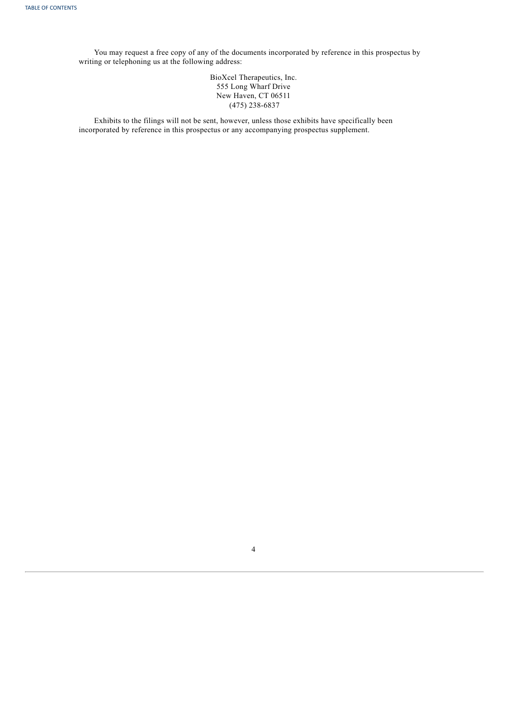You may request a free copy of any of the documents incorporated by reference in this prospectus by writing or telephoning us at the following address:

> BioXcel Therapeutics, Inc. 555 Long Wharf Drive New Haven, CT 06511 (475) 238-6837

Exhibits to the filings will not be sent, however, unless those exhibits have specifically been incorporated by reference in this prospectus or any accompanying prospectus supplement.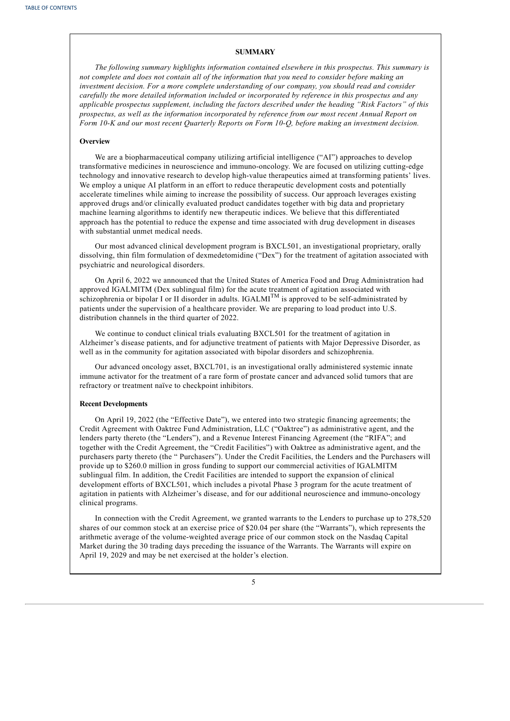## **SUMMARY**

*The following summary highlights information contained elsewhere in this prospectus. This summary is* not complete and does not contain all of the information that you need to consider before making an *investment decision. For a more complete understanding of our company, you should read and consider carefully the more detailed information included or incorporated by reference in this prospectus and any applicable prospectus supplement, including the factors described under the heading "Risk Factors" of this prospectus, as well as the information incorporated by reference from our most recent Annual Report on Form 10-K and our most recent Quarterly Reports on Form 10-Q, before making an investment decision.*

## **Overview**

We are a biopharmaceutical company utilizing artificial intelligence ("AI") approaches to develop transformative medicines in neuroscience and immuno-oncology. We are focused on utilizing cutting-edge technology and innovative research to develop high-value therapeutics aimed at transforming patients' lives. We employ a unique AI platform in an effort to reduce therapeutic development costs and potentially accelerate timelines while aiming to increase the possibility of success. Our approach leverages existing approved drugs and/or clinically evaluated product candidates together with big data and proprietary machine learning algorithms to identify new therapeutic indices. We believe that this differentiated approach has the potential to reduce the expense and time associated with drug development in diseases with substantial unmet medical needs.

Our most advanced clinical development program is BXCL501, an investigational proprietary, orally dissolving, thin film formulation of dexmedetomidine ("Dex") for the treatment of agitation associated with psychiatric and neurological disorders.

On April 6, 2022 we announced that the United States of America Food and Drug Administration had approved IGALMITM (Dex sublingual film) for the acute treatment of agitation associated with schizophrenia or bipolar I or II disorder in adults. IGALMI<sup>TM</sup> is approved to be self-administrated by patients under the supervision of a healthcare provider. We are preparing to load product into U.S. distribution channels in the third quarter of 2022.

We continue to conduct clinical trials evaluating BXCL501 for the treatment of agitation in Alzheimer's disease patients, and for adjunctive treatment of patients with Major Depressive Disorder, as well as in the community for agitation associated with bipolar disorders and schizophrenia.

Our advanced oncology asset, BXCL701, is an investigational orally administered systemic innate immune activator for the treatment of a rare form of prostate cancer and advanced solid tumors that are refractory or treatment naïve to checkpoint inhibitors.

#### **Recent Developments**

On April 19, 2022 (the "Effective Date"), we entered into two strategic financing agreements; the Credit Agreement with Oaktree Fund Administration, LLC ("Oaktree") as administrative agent, and the lenders party thereto (the "Lenders"), and a Revenue Interest Financing Agreement (the "RIFA"; and together with the Credit Agreement, the "Credit Facilities") with Oaktree as administrative agent, and the purchasers party thereto (the " Purchasers"). Under the Credit Facilities, the Lenders and the Purchasers will provide up to \$260.0 million in gross funding to support our commercial activities of IGALMITM sublingual film. In addition, the Credit Facilities are intended to support the expansion of clinical development efforts of BXCL501, which includes a pivotal Phase 3 program for the acute treatment of agitation in patients with Alzheimer's disease, and for our additional neuroscience and immuno-oncology clinical programs.

In connection with the Credit Agreement, we granted warrants to the Lenders to purchase up to 278,520 shares of our common stock at an exercise price of \$20.04 per share (the "Warrants"), which represents the arithmetic average of the volume-weighted average price of our common stock on the Nasdaq Capital Market during the 30 trading days preceding the issuance of the Warrants. The Warrants will expire on April 19, 2029 and may be net exercised at the holder's election.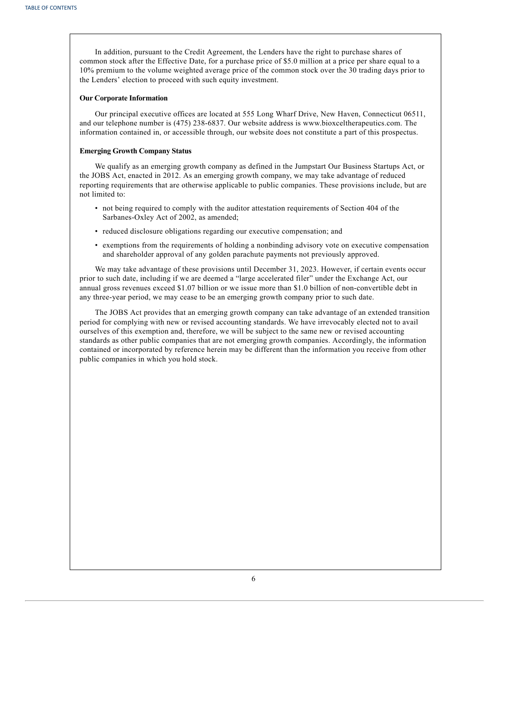In addition, pursuant to the Credit Agreement, the Lenders have the right to purchase shares of common stock after the Effective Date, for a purchase price of \$5.0 million at a price per share equal to a 10% premium to the volume weighted average price of the common stock over the 30 trading days prior to the Lenders' election to proceed with such equity investment.

## **Our Corporate Information**

Our principal executive offices are located at 555 Long Wharf Drive, New Haven, Connecticut 06511, and our telephone number is (475) 238-6837. Our website address is www.bioxceltherapeutics.com. The information contained in, or accessible through, our website does not constitute a part of this prospectus.

## **Emerging Growth Company Status**

We qualify as an emerging growth company as defined in the Jumpstart Our Business Startups Act, or the JOBS Act, enacted in 2012. As an emerging growth company, we may take advantage of reduced reporting requirements that are otherwise applicable to public companies. These provisions include, but are not limited to:

- not being required to comply with the auditor attestation requirements of Section 404 of the Sarbanes-Oxley Act of 2002, as amended;
- reduced disclosure obligations regarding our executive compensation; and
- exemptions from the requirements of holding a nonbinding advisory vote on executive compensation and shareholder approval of any golden parachute payments not previously approved.

We may take advantage of these provisions until December 31, 2023. However, if certain events occur prior to such date, including if we are deemed a "large accelerated filer" under the Exchange Act, our annual gross revenues exceed \$1.07 billion or we issue more than \$1.0 billion of non-convertible debt in any three-year period, we may cease to be an emerging growth company prior to such date.

<span id="page-8-0"></span>The JOBS Act provides that an emerging growth company can take advantage of an extended transition period for complying with new or revised accounting standards. We have irrevocably elected not to avail ourselves of this exemption and, therefore, we will be subject to the same new or revised accounting standards as other public companies that are not emerging growth companies. Accordingly, the information contained or incorporated by reference herein may be different than the information you receive from other public companies in which you hold stock.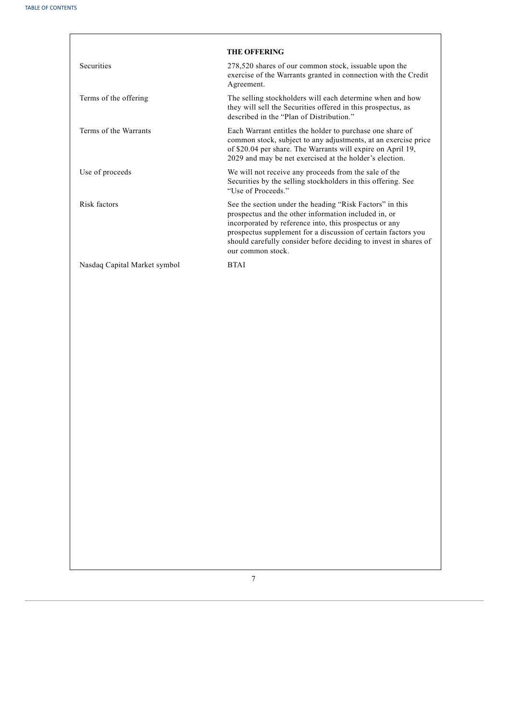<span id="page-9-0"></span>

|                              | <b>THE OFFERING</b>                                                                                                                                                                                                                                                                                                                  |
|------------------------------|--------------------------------------------------------------------------------------------------------------------------------------------------------------------------------------------------------------------------------------------------------------------------------------------------------------------------------------|
| <b>Securities</b>            | 278,520 shares of our common stock, issuable upon the<br>exercise of the Warrants granted in connection with the Credit<br>Agreement.                                                                                                                                                                                                |
| Terms of the offering        | The selling stockholders will each determine when and how<br>they will sell the Securities offered in this prospectus, as<br>described in the "Plan of Distribution."                                                                                                                                                                |
| Terms of the Warrants        | Each Warrant entitles the holder to purchase one share of<br>common stock, subject to any adjustments, at an exercise price<br>of \$20.04 per share. The Warrants will expire on April 19,<br>2029 and may be net exercised at the holder's election.                                                                                |
| Use of proceeds              | We will not receive any proceeds from the sale of the<br>Securities by the selling stockholders in this offering. See<br>"Use of Proceeds."                                                                                                                                                                                          |
| Risk factors                 | See the section under the heading "Risk Factors" in this<br>prospectus and the other information included in, or<br>incorporated by reference into, this prospectus or any<br>prospectus supplement for a discussion of certain factors you<br>should carefully consider before deciding to invest in shares of<br>our common stock. |
| Nasdaq Capital Market symbol | <b>BTAI</b>                                                                                                                                                                                                                                                                                                                          |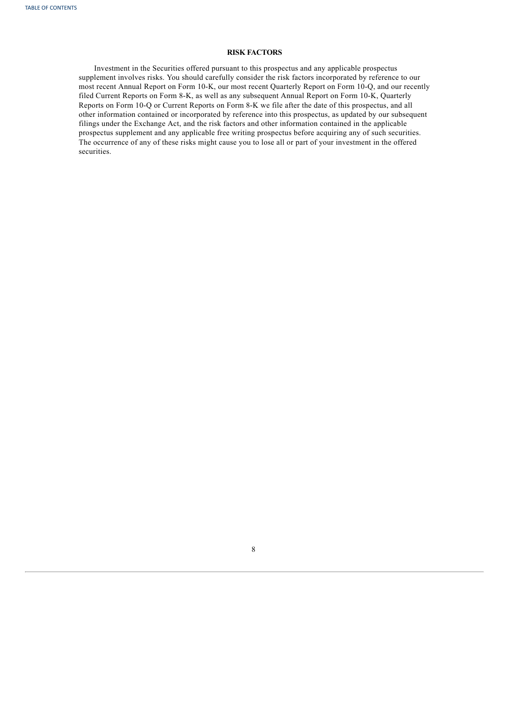## **RISK FACTORS**

<span id="page-10-0"></span>Investment in the Securities offered pursuant to this prospectus and any applicable prospectus supplement involves risks. You should carefully consider the risk factors incorporated by reference to our most recent Annual Report on Form 10-K, our most recent Quarterly Report on Form 10-Q, and our recently filed Current Reports on Form 8-K, as well as any subsequent Annual Report on Form 10-K, Quarterly Reports on Form 10-Q or Current Reports on Form 8-K we file after the date of this prospectus, and all other information contained or incorporated by reference into this prospectus, as updated by our subsequent filings under the Exchange Act, and the risk factors and other information contained in the applicable prospectus supplement and any applicable free writing prospectus before acquiring any of such securities. The occurrence of any of these risks might cause you to lose all or part of your investment in the offered securities.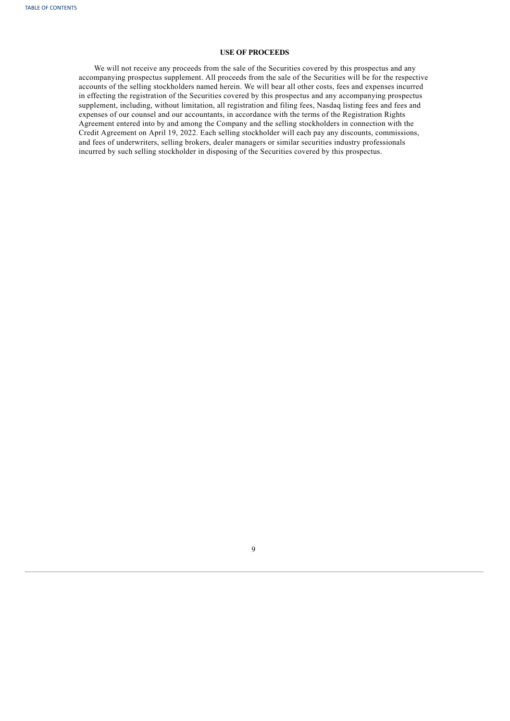## **USE OF PROCEEDS**

<span id="page-11-0"></span>We will not receive any proceeds from the sale of the Securities covered by this prospectus and any accompanying prospectus supplement. All proceeds from the sale of the Securities will be for the respective accounts of the selling stockholders named herein. We will bear all other costs, fees and expenses incurred in effecting the registration of the Securities covered by this prospectus and any accompanying prospectus supplement, including, without limitation, all registration and filing fees, Nasdaq listing fees and fees and expenses of our counsel and our accountants, in accordance with the terms of the Registration Rights Agreement entered into by and among the Company and the selling stockholders in connection with the Credit Agreement on April 19, 2022. Each selling stockholder will each pay any discounts, commissions, and fees of underwriters, selling brokers, dealer managers or similar securities industry professionals incurred by such selling stockholder in disposing of the Securities covered by this prospectus.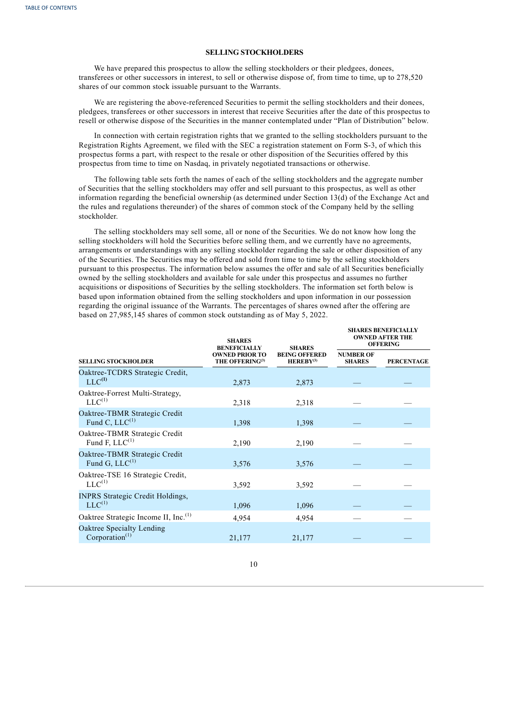## **SELLING STOCKHOLDERS**

We have prepared this prospectus to allow the selling stockholders or their pledgees, donees, transferees or other successors in interest, to sell or otherwise dispose of, from time to time, up to 278,520 shares of our common stock issuable pursuant to the Warrants.

We are registering the above-referenced Securities to permit the selling stockholders and their donees, pledgees, transferees or other successors in interest that receive Securities after the date of this prospectus to resell or otherwise dispose of the Securities in the manner contemplated under "Plan of Distribution" below.

In connection with certain registration rights that we granted to the selling stockholders pursuant to the Registration Rights Agreement, we filed with the SEC a registration statement on Form S-3, of which this prospectus forms a part, with respect to the resale or other disposition of the Securities offered by this prospectus from time to time on Nasdaq, in privately negotiated transactions or otherwise.

The following table sets forth the names of each of the selling stockholders and the aggregate number of Securities that the selling stockholders may offer and sell pursuant to this prospectus, as well as other information regarding the beneficial ownership (as determined under Section 13(d) of the Exchange Act and the rules and regulations thereunder) of the shares of common stock of the Company held by the selling stockholder.

The selling stockholders may sell some, all or none of the Securities. We do not know how long the selling stockholders will hold the Securities before selling them, and we currently have no agreements, arrangements or understandings with any selling stockholder regarding the sale or other disposition of any of the Securities. The Securities may be offered and sold from time to time by the selling stockholders pursuant to this prospectus. The information below assumes the offer and sale of all Securities beneficially owned by the selling stockholders and available for sale under this prospectus and assumes no further acquisitions or dispositions of Securities by the selling stockholders. The information set forth below is based upon information obtained from the selling stockholders and upon information in our possession regarding the original issuance of the Warrants. The percentages of shares owned after the offering are based on 27,985,145 shares of common stock outstanding as of May 5, 2022.

|                                                        | <b>SHARES</b><br><b>BENEFICIALLY</b>                 | <b>SHARES</b>                                 | <b>SHARES BENEFICIALLY</b><br><b>OWNED AFTER THE</b><br><b>OFFERING</b> |                   |  |  |
|--------------------------------------------------------|------------------------------------------------------|-----------------------------------------------|-------------------------------------------------------------------------|-------------------|--|--|
| <b>SELLING STOCKHOLDER</b>                             | <b>OWNED PRIOR TO</b><br>THE OFFERING <sup>(3)</sup> | <b>BEING OFFERED</b><br>HEREBY <sup>(3)</sup> | <b>NUMBER OF</b><br><b>SHARES</b>                                       | <b>PERCENTAGE</b> |  |  |
| Oaktree-TCDRS Strategic Credit,<br>$LLC^{(1)}$         | 2,873                                                | 2,873                                         |                                                                         |                   |  |  |
| Oaktree-Forrest Multi-Strategy,<br>$LLC^{(1)}$         | 2,318                                                | 2,318                                         |                                                                         |                   |  |  |
| Oaktree-TBMR Strategic Credit<br>Fund C, $LLC^{(1)}$   | 1,398                                                | 1,398                                         |                                                                         |                   |  |  |
| Oaktree-TBMR Strategic Credit<br>Fund F, $LLC^{(1)}$   | 2,190                                                | 2,190                                         |                                                                         |                   |  |  |
| Oaktree-TBMR Strategic Credit<br>Fund G, $LLC^{(1)}$   | 3,576                                                | 3,576                                         |                                                                         |                   |  |  |
| Oaktree-TSE 16 Strategic Credit,<br>$LLC^{(1)}$        | 3,592                                                | 3,592                                         |                                                                         |                   |  |  |
| <b>INPRS Strategic Credit Holdings,</b><br>$LLC^{(1)}$ | 1,096                                                | 1,096                                         |                                                                         |                   |  |  |
| Oaktree Strategic Income II, Inc. <sup>(1)</sup>       | 4,954                                                | 4,954                                         |                                                                         |                   |  |  |
| Oaktree Specialty Lending<br>Corporation $(1)$         | 21,177                                               | 21,177                                        |                                                                         |                   |  |  |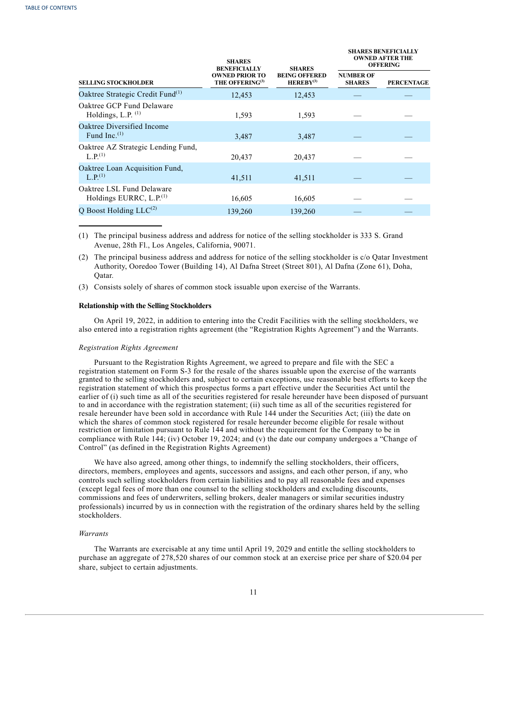|                                                                  | <b>SHARES</b><br><b>BENEFICIALLY</b>                 | <b>SHARES</b>                          | <b>SHARES BENEFICIALLY</b><br><b>OWNED AFTER THE</b><br><b>OFFERING</b> |                   |  |  |
|------------------------------------------------------------------|------------------------------------------------------|----------------------------------------|-------------------------------------------------------------------------|-------------------|--|--|
| <b>SELLING STOCKHOLDER</b>                                       | <b>OWNED PRIOR TO</b><br>THE OFFERING <sup>(3)</sup> | <b>BEING OFFERED</b><br>$HEREBY^{(3)}$ | <b>NUMBER OF</b><br><b>SHARES</b>                                       | <b>PERCENTAGE</b> |  |  |
| Oaktree Strategic Credit Fund <sup>(1)</sup>                     | 12,453                                               | 12,453                                 |                                                                         |                   |  |  |
| Oaktree GCP Fund Delaware<br>Holdings, L.P. $(1)$                | 1,593                                                | 1,593                                  |                                                                         |                   |  |  |
| Oaktree Diversified Income<br>Fund Inc. $(1)$                    | 3,487                                                | 3,487                                  |                                                                         |                   |  |  |
| Oaktree AZ Strategic Lending Fund,<br>$L$ $P$ <sup>(1)</sup>     | 20,437                                               | 20,437                                 |                                                                         |                   |  |  |
| Oaktree Loan Acquisition Fund,<br>L.P <sup>(1)</sup>             | 41,511                                               | 41,511                                 |                                                                         |                   |  |  |
| Oaktree LSL Fund Delaware<br>Holdings EURRC, L.P. <sup>(1)</sup> | 16,605                                               | 16,605                                 |                                                                         |                   |  |  |
| Q Boost Holding $LLC^{(2)}$                                      | 139,260                                              | 139,260                                |                                                                         |                   |  |  |
|                                                                  |                                                      |                                        |                                                                         |                   |  |  |

(1) The principal business address and address for notice of the selling stockholder is 333 S. Grand Avenue, 28th Fl., Los Angeles, California, 90071.

(2) The principal business address and address for notice of the selling stockholder is c/o Qatar Investment Authority, Ooredoo Tower (Building 14), Al Dafna Street (Street 801), Al Dafna (Zone 61), Doha, Qatar.

(3) Consists solely of shares of common stock issuable upon exercise of the Warrants.

## **Relationship with the Selling Stockholders**

On April 19, 2022, in addition to entering into the Credit Facilities with the selling stockholders, we also entered into a registration rights agreement (the "Registration Rights Agreement") and the Warrants.

### *Registration Rights Agreement*

Pursuant to the Registration Rights Agreement, we agreed to prepare and file with the SEC a registration statement on Form S-3 for the resale of the shares issuable upon the exercise of the warrants granted to the selling stockholders and, subject to certain exceptions, use reasonable best efforts to keep the registration statement of which this prospectus forms a part effective under the Securities Act until the earlier of (i) such time as all of the securities registered for resale hereunder have been disposed of pursuant to and in accordance with the registration statement; (ii) such time as all of the securities registered for resale hereunder have been sold in accordance with Rule 144 under the Securities Act; (iii) the date on which the shares of common stock registered for resale hereunder become eligible for resale without restriction or limitation pursuant to Rule 144 and without the requirement for the Company to be in compliance with Rule 144; (iv) October 19, 2024; and (v) the date our company undergoes a "Change of Control" (as defined in the Registration Rights Agreement)

We have also agreed, among other things, to indemnify the selling stockholders, their officers, directors, members, employees and agents, successors and assigns, and each other person, if any, who controls such selling stockholders from certain liabilities and to pay all reasonable fees and expenses (except legal fees of more than one counsel to the selling stockholders and excluding discounts, commissions and fees of underwriters, selling brokers, dealer managers or similar securities industry professionals) incurred by us in connection with the registration of the ordinary shares held by the selling stockholders.

## *Warrants*

<span id="page-13-0"></span>The Warrants are exercisable at any time until April 19, 2029 and entitle the selling stockholders to purchase an aggregate of 278,520 shares of our common stock at an exercise price per share of \$20.04 per share, subject to certain adjustments.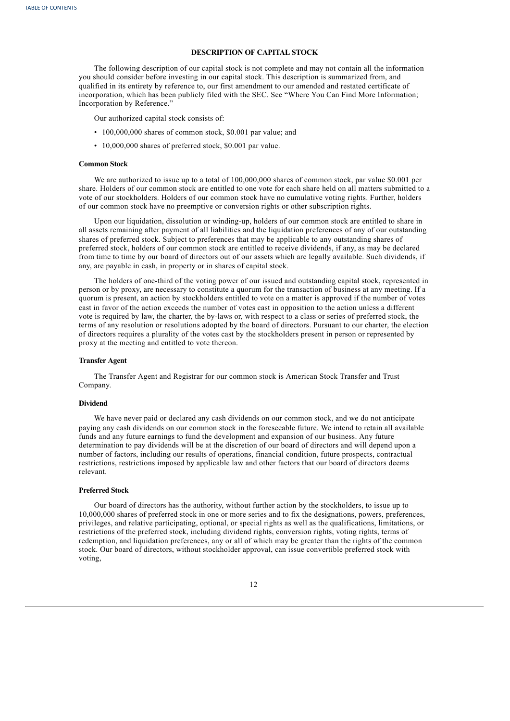## **DESCRIPTION OF CAPITAL STOCK**

The following description of our capital stock is not complete and may not contain all the information you should consider before investing in our capital stock. This description is summarized from, and qualified in its entirety by reference to, our first amendment to our amended and restated certificate of incorporation, which has been publicly filed with the SEC. See "Where You Can Find More Information; Incorporation by Reference."

Our authorized capital stock consists of:

- 100,000,000 shares of common stock, \$0.001 par value; and
- 10,000,000 shares of preferred stock, \$0.001 par value.

## **Common Stock**

We are authorized to issue up to a total of 100,000,000 shares of common stock, par value \$0.001 per share. Holders of our common stock are entitled to one vote for each share held on all matters submitted to a vote of our stockholders. Holders of our common stock have no cumulative voting rights. Further, holders of our common stock have no preemptive or conversion rights or other subscription rights.

Upon our liquidation, dissolution or winding-up, holders of our common stock are entitled to share in all assets remaining after payment of all liabilities and the liquidation preferences of any of our outstanding shares of preferred stock. Subject to preferences that may be applicable to any outstanding shares of preferred stock, holders of our common stock are entitled to receive dividends, if any, as may be declared from time to time by our board of directors out of our assets which are legally available. Such dividends, if any, are payable in cash, in property or in shares of capital stock.

The holders of one-third of the voting power of our issued and outstanding capital stock, represented in person or by proxy, are necessary to constitute a quorum for the transaction of business at any meeting. If a quorum is present, an action by stockholders entitled to vote on a matter is approved if the number of votes cast in favor of the action exceeds the number of votes cast in opposition to the action unless a different vote is required by law, the charter, the by-laws or, with respect to a class or series of preferred stock, the terms of any resolution or resolutions adopted by the board of directors. Pursuant to our charter, the election of directors requires a plurality of the votes cast by the stockholders present in person or represented by proxy at the meeting and entitled to vote thereon.

## **Transfer Agent**

The Transfer Agent and Registrar for our common stock is American Stock Transfer and Trust Company.

#### **Dividend**

We have never paid or declared any cash dividends on our common stock, and we do not anticipate paying any cash dividends on our common stock in the foreseeable future. We intend to retain all available funds and any future earnings to fund the development and expansion of our business. Any future determination to pay dividends will be at the discretion of our board of directors and will depend upon a number of factors, including our results of operations, financial condition, future prospects, contractual restrictions, restrictions imposed by applicable law and other factors that our board of directors deems relevant.

#### **Preferred Stock**

Our board of directors has the authority, without further action by the stockholders, to issue up to 10,000,000 shares of preferred stock in one or more series and to fix the designations, powers, preferences, privileges, and relative participating, optional, or special rights as well as the qualifications, limitations, or restrictions of the preferred stock, including dividend rights, conversion rights, voting rights, terms of redemption, and liquidation preferences, any or all of which may be greater than the rights of the common stock. Our board of directors, without stockholder approval, can issue convertible preferred stock with voting,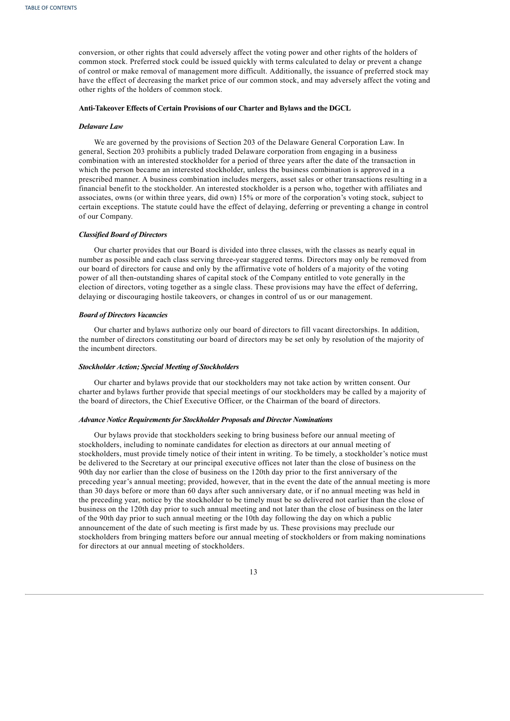conversion, or other rights that could adversely affect the voting power and other rights of the holders of common stock. Preferred stock could be issued quickly with terms calculated to delay or prevent a change of control or make removal of management more difficult. Additionally, the issuance of preferred stock may have the effect of decreasing the market price of our common stock, and may adversely affect the voting and other rights of the holders of common stock.

## **Anti-Takeover Effects of Certain Provisions of our Charter and Bylaws and the DGCL**

#### *Delaware Law*

We are governed by the provisions of Section 203 of the Delaware General Corporation Law. In general, Section 203 prohibits a publicly traded Delaware corporation from engaging in a business combination with an interested stockholder for a period of three years after the date of the transaction in which the person became an interested stockholder, unless the business combination is approved in a prescribed manner. A business combination includes mergers, asset sales or other transactions resulting in a financial benefit to the stockholder. An interested stockholder is a person who, together with affiliates and associates, owns (or within three years, did own) 15% or more of the corporation's voting stock, subject to certain exceptions. The statute could have the effect of delaying, deferring or preventing a change in control of our Company.

#### *Classified Board of Directors*

Our charter provides that our Board is divided into three classes, with the classes as nearly equal in number as possible and each class serving three-year staggered terms. Directors may only be removed from our board of directors for cause and only by the affirmative vote of holders of a majority of the voting power of all then-outstanding shares of capital stock of the Company entitled to vote generally in the election of directors, voting together as a single class. These provisions may have the effect of deferring, delaying or discouraging hostile takeovers, or changes in control of us or our management.

## *Board of Directors Vacancies*

Our charter and bylaws authorize only our board of directors to fill vacant directorships. In addition, the number of directors constituting our board of directors may be set only by resolution of the majority of the incumbent directors.

#### *Stockholder Action; Special Meeting of Stockholders*

Our charter and bylaws provide that our stockholders may not take action by written consent. Our charter and bylaws further provide that special meetings of our stockholders may be called by a majority of the board of directors, the Chief Executive Officer, or the Chairman of the board of directors.

#### *Advance Notice Requirements for Stockholder Proposals and Director Nominations*

Our bylaws provide that stockholders seeking to bring business before our annual meeting of stockholders, including to nominate candidates for election as directors at our annual meeting of stockholders, must provide timely notice of their intent in writing. To be timely, a stockholder's notice must be delivered to the Secretary at our principal executive offices not later than the close of business on the 90th day nor earlier than the close of business on the 120th day prior to the first anniversary of the preceding year's annual meeting; provided, however, that in the event the date of the annual meeting is more than 30 days before or more than 60 days after such anniversary date, or if no annual meeting was held in the preceding year, notice by the stockholder to be timely must be so delivered not earlier than the close of business on the 120th day prior to such annual meeting and not later than the close of business on the later of the 90th day prior to such annual meeting or the 10th day following the day on which a public announcement of the date of such meeting is first made by us. These provisions may preclude our stockholders from bringing matters before our annual meeting of stockholders or from making nominations for directors at our annual meeting of stockholders.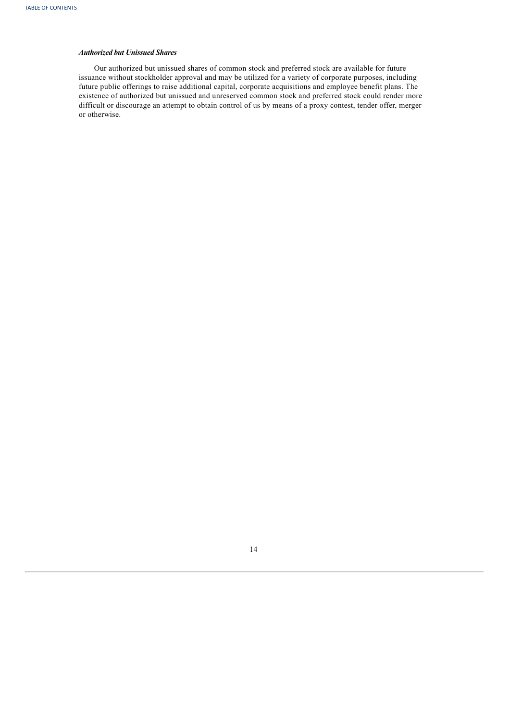## *Authorized but Unissued Shares*

<span id="page-16-0"></span>Our authorized but unissued shares of common stock and preferred stock are available for future issuance without stockholder approval and may be utilized for a variety of corporate purposes, including future public offerings to raise additional capital, corporate acquisitions and employee benefit plans. The existence of authorized but unissued and unreserved common stock and preferred stock could render more difficult or discourage an attempt to obtain control of us by means of a proxy contest, tender offer, merger or otherwise.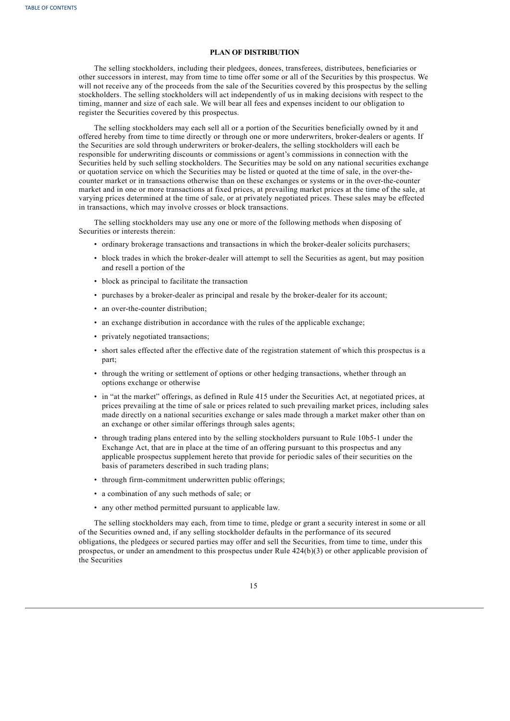## **PLAN OF DISTRIBUTION**

The selling stockholders, including their pledgees, donees, transferees, distributees, beneficiaries or other successors in interest, may from time to time offer some or all of the Securities by this prospectus. We will not receive any of the proceeds from the sale of the Securities covered by this prospectus by the selling stockholders. The selling stockholders will act independently of us in making decisions with respect to the timing, manner and size of each sale. We will bear all fees and expenses incident to our obligation to register the Securities covered by this prospectus.

The selling stockholders may each sell all or a portion of the Securities beneficially owned by it and offered hereby from time to time directly or through one or more underwriters, broker-dealers or agents. If the Securities are sold through underwriters or broker-dealers, the selling stockholders will each be responsible for underwriting discounts or commissions or agent's commissions in connection with the Securities held by such selling stockholders. The Securities may be sold on any national securities exchange or quotation service on which the Securities may be listed or quoted at the time of sale, in the over-thecounter market or in transactions otherwise than on these exchanges or systems or in the over-the-counter market and in one or more transactions at fixed prices, at prevailing market prices at the time of the sale, at varying prices determined at the time of sale, or at privately negotiated prices. These sales may be effected in transactions, which may involve crosses or block transactions.

The selling stockholders may use any one or more of the following methods when disposing of Securities or interests therein:

- ordinary brokerage transactions and transactions in which the broker-dealer solicits purchasers;
- block trades in which the broker-dealer will attempt to sell the Securities as agent, but may position and resell a portion of the
- block as principal to facilitate the transaction
- purchases by a broker-dealer as principal and resale by the broker-dealer for its account;
- an over-the-counter distribution;
- an exchange distribution in accordance with the rules of the applicable exchange;
- privately negotiated transactions;
- short sales effected after the effective date of the registration statement of which this prospectus is a part;
- through the writing or settlement of options or other hedging transactions, whether through an options exchange or otherwise
- in "at the market" offerings, as defined in Rule 415 under the Securities Act, at negotiated prices, at prices prevailing at the time of sale or prices related to such prevailing market prices, including sales made directly on a national securities exchange or sales made through a market maker other than on an exchange or other similar offerings through sales agents;
- through trading plans entered into by the selling stockholders pursuant to Rule 10b5-1 under the Exchange Act, that are in place at the time of an offering pursuant to this prospectus and any applicable prospectus supplement hereto that provide for periodic sales of their securities on the basis of parameters described in such trading plans;
- through firm-commitment underwritten public offerings;
- a combination of any such methods of sale; or
- any other method permitted pursuant to applicable law.

The selling stockholders may each, from time to time, pledge or grant a security interest in some or all of the Securities owned and, if any selling stockholder defaults in the performance of its secured obligations, the pledgees or secured parties may offer and sell the Securities, from time to time, under this prospectus, or under an amendment to this prospectus under Rule 424(b)(3) or other applicable provision of the Securities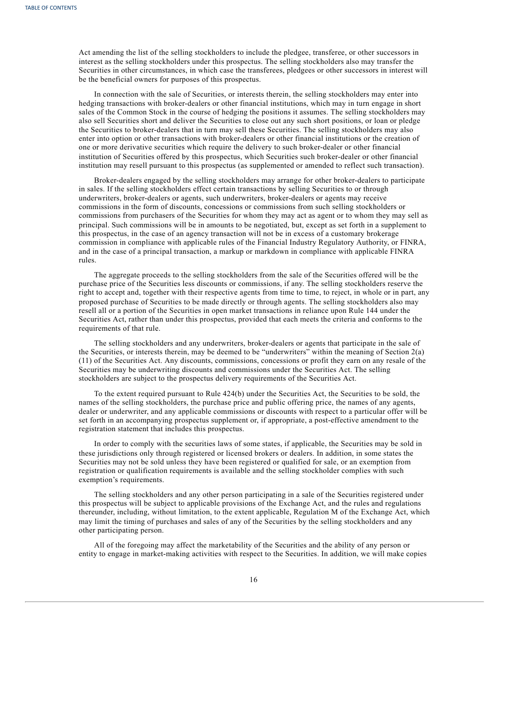Act amending the list of the selling stockholders to include the pledgee, transferee, or other successors in interest as the selling stockholders under this prospectus. The selling stockholders also may transfer the Securities in other circumstances, in which case the transferees, pledgees or other successors in interest will be the beneficial owners for purposes of this prospectus.

In connection with the sale of Securities, or interests therein, the selling stockholders may enter into hedging transactions with broker-dealers or other financial institutions, which may in turn engage in short sales of the Common Stock in the course of hedging the positions it assumes. The selling stockholders may also sell Securities short and deliver the Securities to close out any such short positions, or loan or pledge the Securities to broker-dealers that in turn may sell these Securities. The selling stockholders may also enter into option or other transactions with broker-dealers or other financial institutions or the creation of one or more derivative securities which require the delivery to such broker-dealer or other financial institution of Securities offered by this prospectus, which Securities such broker-dealer or other financial institution may resell pursuant to this prospectus (as supplemented or amended to reflect such transaction).

Broker-dealers engaged by the selling stockholders may arrange for other broker-dealers to participate in sales. If the selling stockholders effect certain transactions by selling Securities to or through underwriters, broker-dealers or agents, such underwriters, broker-dealers or agents may receive commissions in the form of discounts, concessions or commissions from such selling stockholders or commissions from purchasers of the Securities for whom they may act as agent or to whom they may sell as principal. Such commissions will be in amounts to be negotiated, but, except as set forth in a supplement to this prospectus, in the case of an agency transaction will not be in excess of a customary brokerage commission in compliance with applicable rules of the Financial Industry Regulatory Authority, or FINRA, and in the case of a principal transaction, a markup or markdown in compliance with applicable FINRA rules.

The aggregate proceeds to the selling stockholders from the sale of the Securities offered will be the purchase price of the Securities less discounts or commissions, if any. The selling stockholders reserve the right to accept and, together with their respective agents from time to time, to reject, in whole or in part, any proposed purchase of Securities to be made directly or through agents. The selling stockholders also may resell all or a portion of the Securities in open market transactions in reliance upon Rule 144 under the Securities Act, rather than under this prospectus, provided that each meets the criteria and conforms to the requirements of that rule.

The selling stockholders and any underwriters, broker-dealers or agents that participate in the sale of the Securities, or interests therein, may be deemed to be "underwriters" within the meaning of Section 2(a) (11) of the Securities Act. Any discounts, commissions, concessions or profit they earn on any resale of the Securities may be underwriting discounts and commissions under the Securities Act. The selling stockholders are subject to the prospectus delivery requirements of the Securities Act.

To the extent required pursuant to Rule 424(b) under the Securities Act, the Securities to be sold, the names of the selling stockholders, the purchase price and public offering price, the names of any agents, dealer or underwriter, and any applicable commissions or discounts with respect to a particular offer will be set forth in an accompanying prospectus supplement or, if appropriate, a post-effective amendment to the registration statement that includes this prospectus.

In order to comply with the securities laws of some states, if applicable, the Securities may be sold in these jurisdictions only through registered or licensed brokers or dealers. In addition, in some states the Securities may not be sold unless they have been registered or qualified for sale, or an exemption from registration or qualification requirements is available and the selling stockholder complies with such exemption's requirements.

The selling stockholders and any other person participating in a sale of the Securities registered under this prospectus will be subject to applicable provisions of the Exchange Act, and the rules and regulations thereunder, including, without limitation, to the extent applicable, Regulation M of the Exchange Act, which may limit the timing of purchases and sales of any of the Securities by the selling stockholders and any other participating person.

All of the foregoing may affect the marketability of the Securities and the ability of any person or entity to engage in market-making activities with respect to the Securities. In addition, we will make copies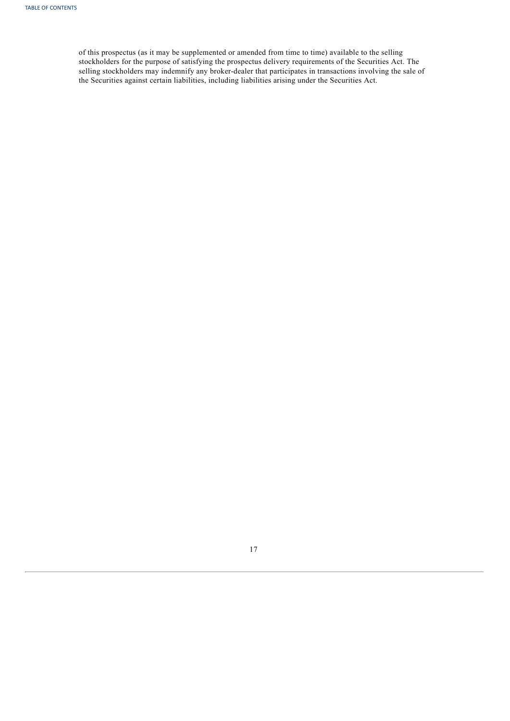<span id="page-19-0"></span>of this prospectus (as it may be supplemented or amended from time to time) available to the selling stockholders for the purpose of satisfying the prospectus delivery requirements of the Securities Act. The selling stockholders may indemnify any broker-dealer that participates in transactions involving the sale of the Securities against certain liabilities, including liabilities arising under the Securities Act.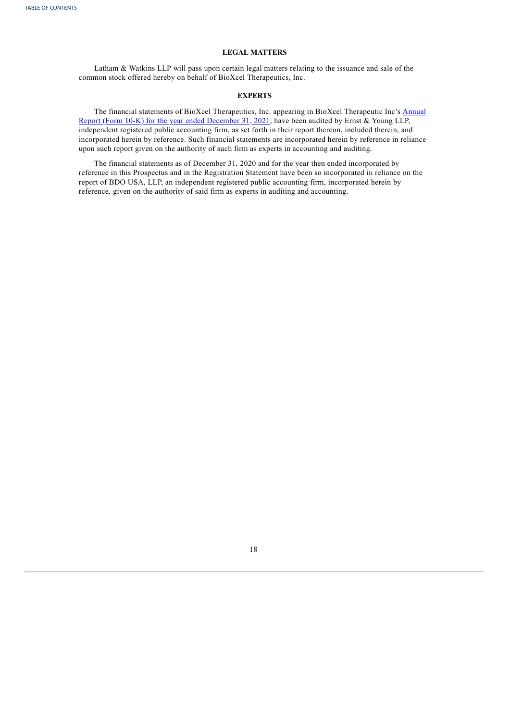## **LEGAL MATTERS**

Latham & Watkins LLP will pass upon certain legal matters relating to the issuance and sale of the common stock offered hereby on behalf of BioXcel Therapeutics, Inc.

## **EXPERTS**

The financial statements of BioXcel [Therapeutics,](https://www.sec.gov/ix?doc=/Archives/edgar/data/1720893/000155837022003335/btai-20211231x10k.htm) Inc. appearing in BioXcel Therapeutic Inc's Annual Report (Form 10-K) for the year ended December 31, 2021, have been audited by Ernst & Young LLP, independent registered public accounting firm, as set forth in their report thereon, included therein, and incorporated herein by reference. Such financial statements are incorporated herein by reference in reliance upon such report given on the authority of such firm as experts in accounting and auditing.

The financial statements as of December 31, 2020 and for the year then ended incorporated by reference in this Prospectus and in the Registration Statement have been so incorporated in reliance on the report of BDO USA, LLP, an independent registered public accounting firm, incorporated herein by reference, given on the authority of said firm as experts in auditing and accounting.

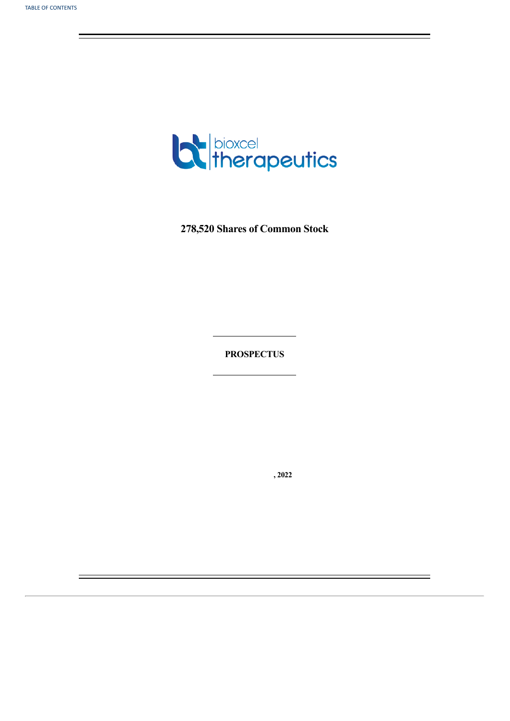

**278,520 Shares of Common Stock**

**PROSPECTUS**

**, 2022**

 $\equiv$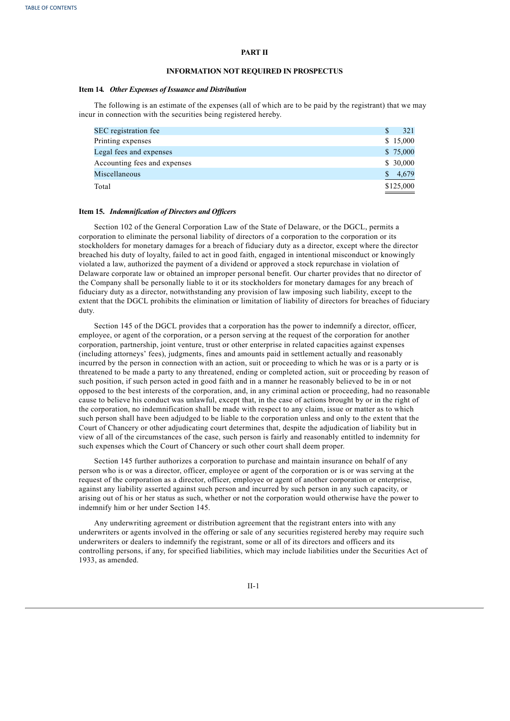## **PART II**

### **INFORMATION NOT REQUIRED IN PROSPECTUS**

### **Item 14***. Other Expenses of Issuance and Distribution*

The following is an estimate of the expenses (all of which are to be paid by the registrant) that we may incur in connection with the securities being registered hereby.

| SEC registration fee         | 321       |
|------------------------------|-----------|
| Printing expenses            | \$15,000  |
| Legal fees and expenses      | \$75,000  |
| Accounting fees and expenses | \$30,000  |
| Miscellaneous                | 4,679     |
| Total                        | \$125,000 |

### **Item 15.** *Indemnification of Directors and Of icers*

Section 102 of the General Corporation Law of the State of Delaware, or the DGCL, permits a corporation to eliminate the personal liability of directors of a corporation to the corporation or its stockholders for monetary damages for a breach of fiduciary duty as a director, except where the director breached his duty of loyalty, failed to act in good faith, engaged in intentional misconduct or knowingly violated a law, authorized the payment of a dividend or approved a stock repurchase in violation of Delaware corporate law or obtained an improper personal benefit. Our charter provides that no director of the Company shall be personally liable to it or its stockholders for monetary damages for any breach of fiduciary duty as a director, notwithstanding any provision of law imposing such liability, except to the extent that the DGCL prohibits the elimination or limitation of liability of directors for breaches of fiduciary duty.

Section 145 of the DGCL provides that a corporation has the power to indemnify a director, officer, employee, or agent of the corporation, or a person serving at the request of the corporation for another corporation, partnership, joint venture, trust or other enterprise in related capacities against expenses (including attorneys' fees), judgments, fines and amounts paid in settlement actually and reasonably incurred by the person in connection with an action, suit or proceeding to which he was or is a party or is threatened to be made a party to any threatened, ending or completed action, suit or proceeding by reason of such position, if such person acted in good faith and in a manner he reasonably believed to be in or not opposed to the best interests of the corporation, and, in any criminal action or proceeding, had no reasonable cause to believe his conduct was unlawful, except that, in the case of actions brought by or in the right of the corporation, no indemnification shall be made with respect to any claim, issue or matter as to which such person shall have been adjudged to be liable to the corporation unless and only to the extent that the Court of Chancery or other adjudicating court determines that, despite the adjudication of liability but in view of all of the circumstances of the case, such person is fairly and reasonably entitled to indemnity for such expenses which the Court of Chancery or such other court shall deem proper.

Section 145 further authorizes a corporation to purchase and maintain insurance on behalf of any person who is or was a director, officer, employee or agent of the corporation or is or was serving at the request of the corporation as a director, officer, employee or agent of another corporation or enterprise, against any liability asserted against such person and incurred by such person in any such capacity, or arising out of his or her status as such, whether or not the corporation would otherwise have the power to indemnify him or her under Section 145.

Any underwriting agreement or distribution agreement that the registrant enters into with any underwriters or agents involved in the offering or sale of any securities registered hereby may require such underwriters or dealers to indemnify the registrant, some or all of its directors and officers and its controlling persons, if any, for specified liabilities, which may include liabilities under the Securities Act of 1933, as amended.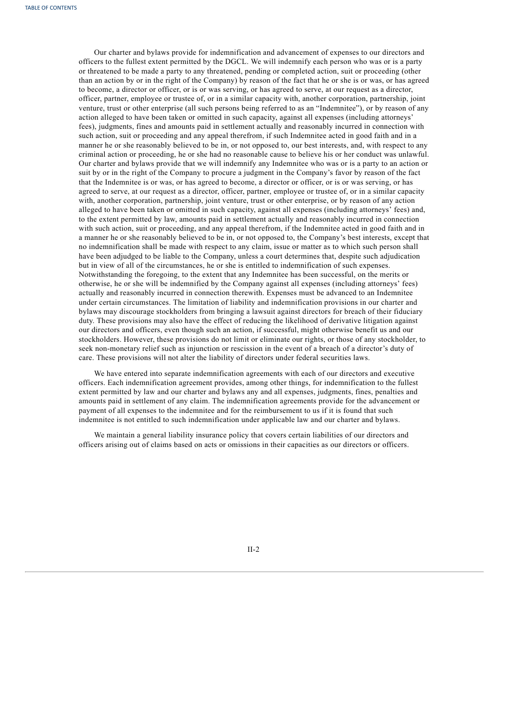Our charter and bylaws provide for indemnification and advancement of expenses to our directors and officers to the fullest extent permitted by the DGCL. We will indemnify each person who was or is a party or threatened to be made a party to any threatened, pending or completed action, suit or proceeding (other than an action by or in the right of the Company) by reason of the fact that he or she is or was, or has agreed to become, a director or officer, or is or was serving, or has agreed to serve, at our request as a director, officer, partner, employee or trustee of, or in a similar capacity with, another corporation, partnership, joint venture, trust or other enterprise (all such persons being referred to as an "Indemnitee"), or by reason of any action alleged to have been taken or omitted in such capacity, against all expenses (including attorneys' fees), judgments, fines and amounts paid in settlement actually and reasonably incurred in connection with such action, suit or proceeding and any appeal therefrom, if such Indemnitee acted in good faith and in a manner he or she reasonably believed to be in, or not opposed to, our best interests, and, with respect to any criminal action or proceeding, he or she had no reasonable cause to believe his or her conduct was unlawful. Our charter and bylaws provide that we will indemnify any Indemnitee who was or is a party to an action or suit by or in the right of the Company to procure a judgment in the Company's favor by reason of the fact that the Indemnitee is or was, or has agreed to become, a director or officer, or is or was serving, or has agreed to serve, at our request as a director, officer, partner, employee or trustee of, or in a similar capacity with, another corporation, partnership, joint venture, trust or other enterprise, or by reason of any action alleged to have been taken or omitted in such capacity, against all expenses (including attorneys' fees) and, to the extent permitted by law, amounts paid in settlement actually and reasonably incurred in connection with such action, suit or proceeding, and any appeal therefrom, if the Indemnitee acted in good faith and in a manner he or she reasonably believed to be in, or not opposed to, the Company's best interests, except that no indemnification shall be made with respect to any claim, issue or matter as to which such person shall have been adjudged to be liable to the Company, unless a court determines that, despite such adjudication but in view of all of the circumstances, he or she is entitled to indemnification of such expenses. Notwithstanding the foregoing, to the extent that any Indemnitee has been successful, on the merits or otherwise, he or she will be indemnified by the Company against all expenses (including attorneys' fees) actually and reasonably incurred in connection therewith. Expenses must be advanced to an Indemnitee under certain circumstances. The limitation of liability and indemnification provisions in our charter and bylaws may discourage stockholders from bringing a lawsuit against directors for breach of their fiduciary duty. These provisions may also have the effect of reducing the likelihood of derivative litigation against our directors and officers, even though such an action, if successful, might otherwise benefit us and our stockholders. However, these provisions do not limit or eliminate our rights, or those of any stockholder, to seek non-monetary relief such as injunction or rescission in the event of a breach of a director's duty of care. These provisions will not alter the liability of directors under federal securities laws.

We have entered into separate indemnification agreements with each of our directors and executive officers. Each indemnification agreement provides, among other things, for indemnification to the fullest extent permitted by law and our charter and bylaws any and all expenses, judgments, fines, penalties and amounts paid in settlement of any claim. The indemnification agreements provide for the advancement or payment of all expenses to the indemnitee and for the reimbursement to us if it is found that such indemnitee is not entitled to such indemnification under applicable law and our charter and bylaws.

We maintain a general liability insurance policy that covers certain liabilities of our directors and officers arising out of claims based on acts or omissions in their capacities as our directors or officers.

II-2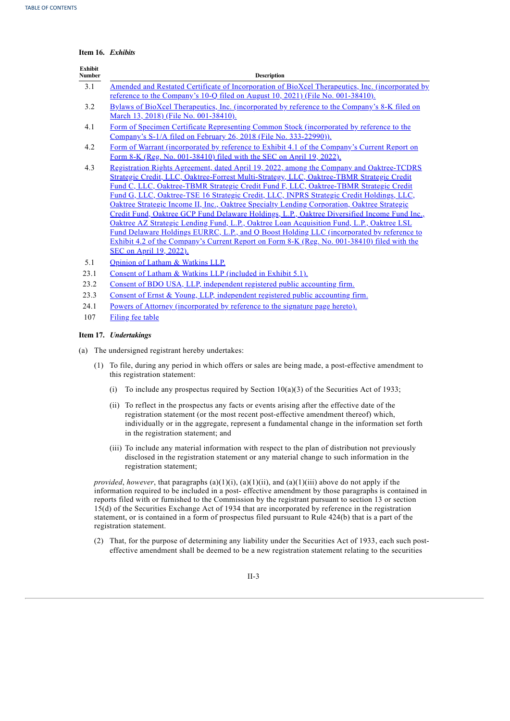|  | Item 16. Exhibits |
|--|-------------------|
|  |                   |

| <b>Exhibit</b><br><b>Number</b> | <b>Description</b>                                                                                                                                                                                                                                                                                                                                                                                                                                                                                                                                                                                                                                                                                                                                                                                                                                                                            |
|---------------------------------|-----------------------------------------------------------------------------------------------------------------------------------------------------------------------------------------------------------------------------------------------------------------------------------------------------------------------------------------------------------------------------------------------------------------------------------------------------------------------------------------------------------------------------------------------------------------------------------------------------------------------------------------------------------------------------------------------------------------------------------------------------------------------------------------------------------------------------------------------------------------------------------------------|
| 3.1                             | Amended and Restated Certificate of Incorporation of BioXcel Therapeutics, Inc. (incorporated by                                                                                                                                                                                                                                                                                                                                                                                                                                                                                                                                                                                                                                                                                                                                                                                              |
|                                 | reference to the Company's 10-Q filed on August 10, 2021) (File No. 001-38410).                                                                                                                                                                                                                                                                                                                                                                                                                                                                                                                                                                                                                                                                                                                                                                                                               |
| 3.2                             | Bylaws of BioXcel Therapeutics, Inc. (incorporated by reference to the Company's 8-K filed on<br>March 13, 2018) (File No. 001-38410).                                                                                                                                                                                                                                                                                                                                                                                                                                                                                                                                                                                                                                                                                                                                                        |
| 4.1                             | Form of Specimen Certificate Representing Common Stock (incorporated by reference to the<br>Company's S-1/A filed on February 26, 2018 (File No. 333-22990)).                                                                                                                                                                                                                                                                                                                                                                                                                                                                                                                                                                                                                                                                                                                                 |
| 4.2                             | Form of Warrant (incorporated by reference to Exhibit 4.1 of the Company's Current Report on<br>Form 8-K (Reg. No. 001-38410) filed with the SEC on April 19, 2022).                                                                                                                                                                                                                                                                                                                                                                                                                                                                                                                                                                                                                                                                                                                          |
| 4.3                             | Registration Rights Agreement, dated April 19, 2022, among the Company and Oaktree-TCDRS<br>Strategic Credit, LLC, Oaktree-Forrest Multi-Strategy, LLC, Oaktree-TBMR Strategic Credit<br>Fund C, LLC, Oaktree-TBMR Strategic Credit Fund F, LLC, Oaktree-TBMR Strategic Credit<br>Fund G, LLC, Oaktree-TSE 16 Strategic Credit, LLC, INPRS Strategic Credit Holdings, LLC,<br>Oaktree Strategic Income II, Inc., Oaktree Specialty Lending Corporation, Oaktree Strategic<br>Credit Fund, Oaktree GCP Fund Delaware Holdings, L.P., Oaktree Diversified Income Fund Inc.,<br>Oaktree AZ Strategic Lending Fund, L.P., Oaktree Loan Acquisition Fund, L.P., Oaktree LSL<br>Fund Delaware Holdings EURRC, L.P., and Q Boost Holding LLC (incorporated by reference to<br>Exhibit 4.2 of the Company's Current Report on Form 8-K (Reg. No. 001-38410) filed with the<br>SEC on April 19, 2022). |
| 5.1                             | Opinion of Latham & Watkins LLP.                                                                                                                                                                                                                                                                                                                                                                                                                                                                                                                                                                                                                                                                                                                                                                                                                                                              |
| 23.1                            | Consent of Latham & Watkins LLP (included in Exhibit 5.1).                                                                                                                                                                                                                                                                                                                                                                                                                                                                                                                                                                                                                                                                                                                                                                                                                                    |
| 23.2                            | Consent of BDO USA, LLP, independent registered public accounting firm.                                                                                                                                                                                                                                                                                                                                                                                                                                                                                                                                                                                                                                                                                                                                                                                                                       |
| 23.3                            | Consent of Ernst & Young, LLP, independent registered public accounting firm.                                                                                                                                                                                                                                                                                                                                                                                                                                                                                                                                                                                                                                                                                                                                                                                                                 |
| 24.1                            | Powers of Attorney (incorporated by reference to the signature page hereto).                                                                                                                                                                                                                                                                                                                                                                                                                                                                                                                                                                                                                                                                                                                                                                                                                  |
| 107                             | Filing fee table                                                                                                                                                                                                                                                                                                                                                                                                                                                                                                                                                                                                                                                                                                                                                                                                                                                                              |

## **Item 17.** *Undertakings*

(a) The undersigned registrant hereby undertakes:

- (1) To file, during any period in which offers or sales are being made, a post-effective amendment to this registration statement:
	- (i) To include any prospectus required by Section  $10(a)(3)$  of the Securities Act of 1933;
	- (ii) To reflect in the prospectus any facts or events arising after the effective date of the registration statement (or the most recent post-effective amendment thereof) which, individually or in the aggregate, represent a fundamental change in the information set forth in the registration statement; and
	- (iii) To include any material information with respect to the plan of distribution not previously disclosed in the registration statement or any material change to such information in the registration statement;

*provided*, *however*, that paragraphs (a)(1)(i), (a)(1)(ii), and (a)(1)(iii) above do not apply if the information required to be included in a post- effective amendment by those paragraphs is contained in reports filed with or furnished to the Commission by the registrant pursuant to section 13 or section 15(d) of the Securities Exchange Act of 1934 that are incorporated by reference in the registration statement, or is contained in a form of prospectus filed pursuant to Rule 424(b) that is a part of the registration statement.

(2) That, for the purpose of determining any liability under the Securities Act of 1933, each such posteffective amendment shall be deemed to be a new registration statement relating to the securities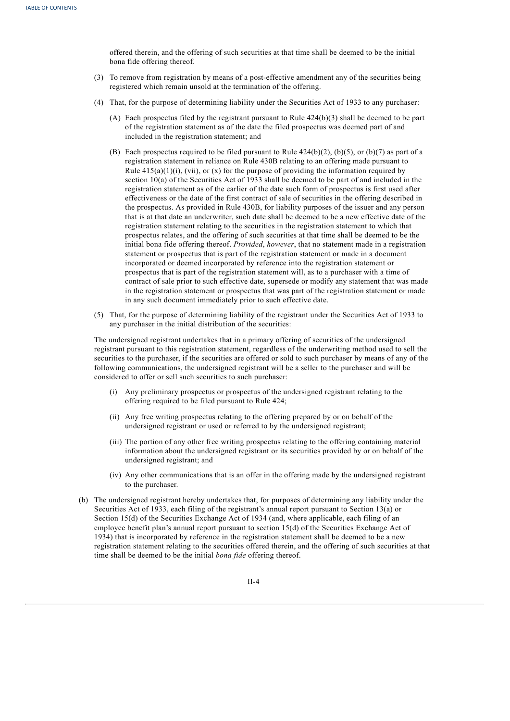offered therein, and the offering of such securities at that time shall be deemed to be the initial bona fide offering thereof.

- (3) To remove from registration by means of a post-effective amendment any of the securities being registered which remain unsold at the termination of the offering.
- (4) That, for the purpose of determining liability under the Securities Act of 1933 to any purchaser:
	- (A) Each prospectus filed by the registrant pursuant to Rule 424(b)(3) shall be deemed to be part of the registration statement as of the date the filed prospectus was deemed part of and included in the registration statement; and
	- (B) Each prospectus required to be filed pursuant to Rule  $424(b)(2)$ , (b)(5), or (b)(7) as part of a registration statement in reliance on Rule 430B relating to an offering made pursuant to Rule  $415(a)(1)(i)$ , (vii), or (x) for the purpose of providing the information required by section 10(a) of the Securities Act of 1933 shall be deemed to be part of and included in the registration statement as of the earlier of the date such form of prospectus is first used after effectiveness or the date of the first contract of sale of securities in the offering described in the prospectus. As provided in Rule 430B, for liability purposes of the issuer and any person that is at that date an underwriter, such date shall be deemed to be a new effective date of the registration statement relating to the securities in the registration statement to which that prospectus relates, and the offering of such securities at that time shall be deemed to be the initial bona fide offering thereof. *Provided*, *however*, that no statement made in a registration statement or prospectus that is part of the registration statement or made in a document incorporated or deemed incorporated by reference into the registration statement or prospectus that is part of the registration statement will, as to a purchaser with a time of contract of sale prior to such effective date, supersede or modify any statement that was made in the registration statement or prospectus that was part of the registration statement or made in any such document immediately prior to such effective date.
- (5) That, for the purpose of determining liability of the registrant under the Securities Act of 1933 to any purchaser in the initial distribution of the securities:

The undersigned registrant undertakes that in a primary offering of securities of the undersigned registrant pursuant to this registration statement, regardless of the underwriting method used to sell the securities to the purchaser, if the securities are offered or sold to such purchaser by means of any of the following communications, the undersigned registrant will be a seller to the purchaser and will be considered to offer or sell such securities to such purchaser:

- (i) Any preliminary prospectus or prospectus of the undersigned registrant relating to the offering required to be filed pursuant to Rule 424;
- (ii) Any free writing prospectus relating to the offering prepared by or on behalf of the undersigned registrant or used or referred to by the undersigned registrant;
- (iii) The portion of any other free writing prospectus relating to the offering containing material information about the undersigned registrant or its securities provided by or on behalf of the undersigned registrant; and
- (iv) Any other communications that is an offer in the offering made by the undersigned registrant to the purchaser.
- (b) The undersigned registrant hereby undertakes that, for purposes of determining any liability under the Securities Act of 1933, each filing of the registrant's annual report pursuant to Section 13(a) or Section 15(d) of the Securities Exchange Act of 1934 (and, where applicable, each filing of an employee benefit plan's annual report pursuant to section 15(d) of the Securities Exchange Act of 1934) that is incorporated by reference in the registration statement shall be deemed to be a new registration statement relating to the securities offered therein, and the offering of such securities at that time shall be deemed to be the initial *bona fide* offering thereof.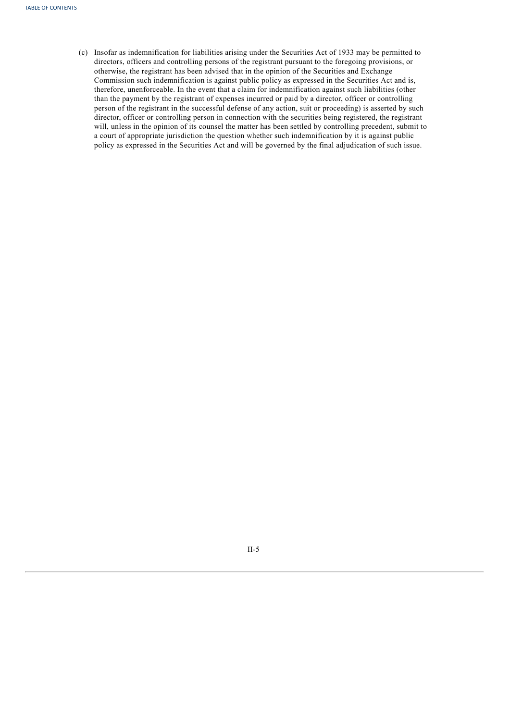(c) Insofar as indemnification for liabilities arising under the Securities Act of 1933 may be permitted to directors, officers and controlling persons of the registrant pursuant to the foregoing provisions, or otherwise, the registrant has been advised that in the opinion of the Securities and Exchange Commission such indemnification is against public policy as expressed in the Securities Act and is, therefore, unenforceable. In the event that a claim for indemnification against such liabilities (other than the payment by the registrant of expenses incurred or paid by a director, officer or controlling person of the registrant in the successful defense of any action, suit or proceeding) is asserted by such director, officer or controlling person in connection with the securities being registered, the registrant will, unless in the opinion of its counsel the matter has been settled by controlling precedent, submit to a court of appropriate jurisdiction the question whether such indemnification by it is against public policy as expressed in the Securities Act and will be governed by the final adjudication of such issue.

<span id="page-26-0"></span>II-5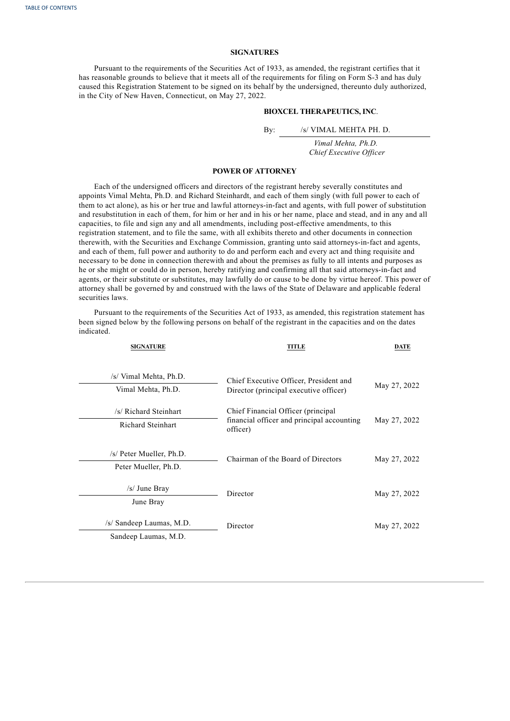## **SIGNATURES**

Pursuant to the requirements of the Securities Act of 1933, as amended, the registrant certifies that it has reasonable grounds to believe that it meets all of the requirements for filing on Form S-3 and has duly caused this Registration Statement to be signed on its behalf by the undersigned, thereunto duly authorized, in the City of New Haven, Connecticut, on May 27, 2022.

## **BIOXCEL THERAPEUTICS, INC**.

By: /s/ VIMAL MEHTA PH. D.

> *Vimal Mehta, Ph.D. Chief Executive Of icer*

## **POWER OF ATTORNEY**

Each of the undersigned officers and directors of the registrant hereby severally constitutes and appoints Vimal Mehta, Ph.D. and Richard Steinhardt, and each of them singly (with full power to each of them to act alone), as his or her true and lawful attorneys-in-fact and agents, with full power of substitution and resubstitution in each of them, for him or her and in his or her name, place and stead, and in any and all capacities, to file and sign any and all amendments, including post-effective amendments, to this registration statement, and to file the same, with all exhibits thereto and other documents in connection therewith, with the Securities and Exchange Commission, granting unto said attorneys-in-fact and agents, and each of them, full power and authority to do and perform each and every act and thing requisite and necessary to be done in connection therewith and about the premises as fully to all intents and purposes as he or she might or could do in person, hereby ratifying and confirming all that said attorneys-in-fact and agents, or their substitute or substitutes, may lawfully do or cause to be done by virtue hereof. This power of attorney shall be governed by and construed with the laws of the State of Delaware and applicable federal securities laws.

Pursuant to the requirements of the Securities Act of 1933, as amended, this registration statement has been signed below by the following persons on behalf of the registrant in the capacities and on the dates indicated.

| <b>SIGNATURE</b>                                  | <b>TITLE</b>                                                                                  | <b>DATE</b>  |
|---------------------------------------------------|-----------------------------------------------------------------------------------------------|--------------|
| /s/ Vimal Mehta, Ph.D.<br>Vimal Mehta, Ph.D.      | Chief Executive Officer, President and<br>Director (principal executive officer)              | May 27, 2022 |
| /s/ Richard Steinhart<br><b>Richard Steinhart</b> | Chief Financial Officer (principal)<br>financial officer and principal accounting<br>officer) | May 27, 2022 |
| /s/ Peter Mueller, Ph.D.<br>Peter Mueller, Ph.D.  | Chairman of the Board of Directors                                                            | May 27, 2022 |
| $/s/$ June Bray<br>June Bray                      | Director                                                                                      | May 27, 2022 |
| /s/ Sandeep Laumas, M.D.<br>Sandeep Laumas, M.D.  | Director                                                                                      | May 27, 2022 |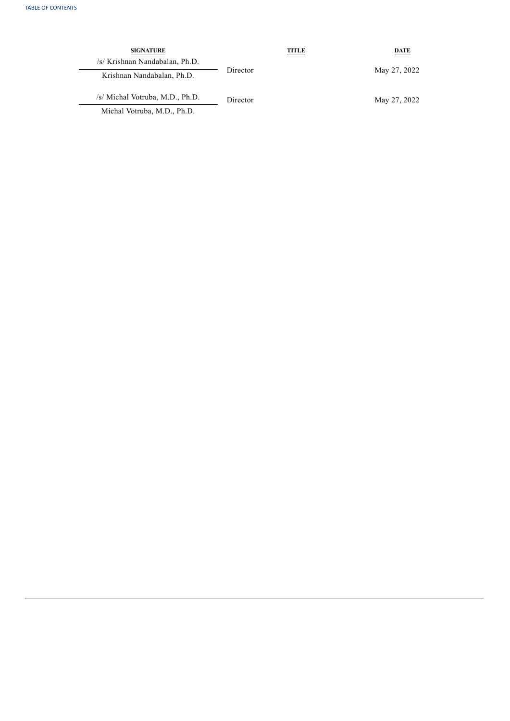| <b>SIGNATURE</b>                |          | TITLE | DATE         |
|---------------------------------|----------|-------|--------------|
| /s/ Krishnan Nandabalan, Ph.D.  |          |       |              |
| Krishnan Nandabalan, Ph.D.      | Director |       | May 27, 2022 |
| /s/ Michal Votruba, M.D., Ph.D. | Director |       | May 27, 2022 |
| Michal Votruba, M.D., Ph.D.     |          |       |              |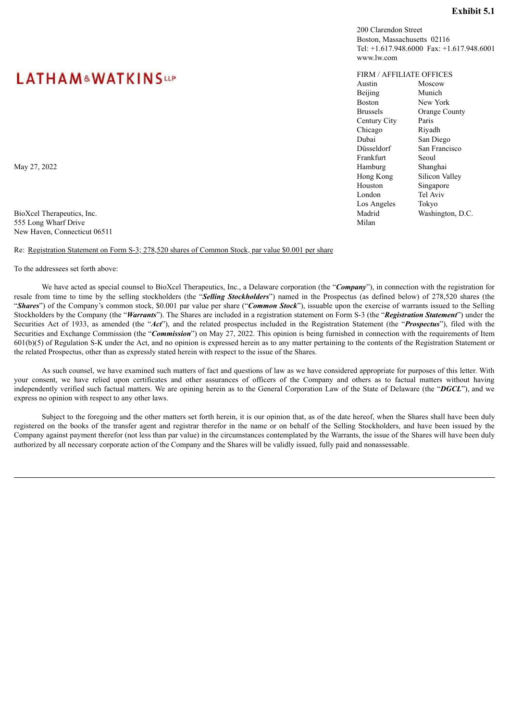## **Exhibit 5.1**

200 Clarendon Street Boston, Massachusetts 02116 Tel: +1.617.948.6000 Fax: +1.617.948.6001 www.lw.com

## FIRM / AFFILIATE OFFICES

Austin Moscow Beijing Munich<br>Boston New Yo New York Brussels Orange County Century City Paris Chicago Riyadh Dubai San Diego Düsseldorf San Francisco Frankfurt Seoul<br>Hamburg Shanghai May 27, 2022 Shanghai Namburg Shanghai Namburg Shanghai Namburg Shanghai Namburg Shanghai Namburg Shanghai Namburg Shanghai Namburg Shanghai Namburg Shanghai Namburg Shanghai Namburg Shanghai Namburg Shanghai Namburg Shang Hong Kong Silicon Valley Houston Singapore London Tel Aviv Los Angeles Tokyo BioXcel Therapeutics, Inc. Madrid Washington, D.C. Madrid Washington, D.C.

# <span id="page-29-0"></span>**LATHAM&WATKINSup**

555 Long Wharf Drive Milan New Haven, Connecticut 06511

Re: Registration Statement on Form S-3; 278,520 shares of Common Stock, par value \$0.001 per share

To the addressees set forth above:

We have acted as special counsel to BioXcel Therapeutics, Inc., a Delaware corporation (the "**Company**"), in connection with the registration for resale from time to time by the selling stockholders (the "*Selling Stockholders*") named in the Prospectus (as defined below) of 278,520 shares (the "*Shares*") of the Company's common stock, \$0.001 par value per share ("*Common Stock*"), issuable upon the exercise of warrants issued to the Selling Stockholders by the Company (the "*Warrants*"). The Shares are included in a registration statement on Form S-3 (the "*Registration Statement*") under the Securities Act of 1933, as amended (the "*Act*"), and the related prospectus included in the Registration Statement (the "*Prospectus*"), filed with the Securities and Exchange Commission (the "*Commission*") on May 27, 2022. This opinion is being furnished in connection with the requirements of Item 601(b)(5) of Regulation S-K under the Act, and no opinion is expressed herein as to any matter pertaining to the contents of the Registration Statement or the related Prospectus, other than as expressly stated herein with respect to the issue of the Shares.

As such counsel, we have examined such matters of fact and questions of law as we have considered appropriate for purposes of this letter. With your consent, we have relied upon certificates and other assurances of officers of the Company and others as to factual matters without having independently verified such factual matters. We are opining herein as to the General Corporation Law of the State of Delaware (the "*DGCL*"), and we express no opinion with respect to any other laws.

Subject to the foregoing and the other matters set forth herein, it is our opinion that, as of the date hereof, when the Shares shall have been duly registered on the books of the transfer agent and registrar therefor in the name or on behalf of the Selling Stockholders, and have been issued by the Company against payment therefor (not less than par value) in the circumstances contemplated by the Warrants, the issue of the Shares will have been duly authorized by all necessary corporate action of the Company and the Shares will be validly issued, fully paid and nonassessable.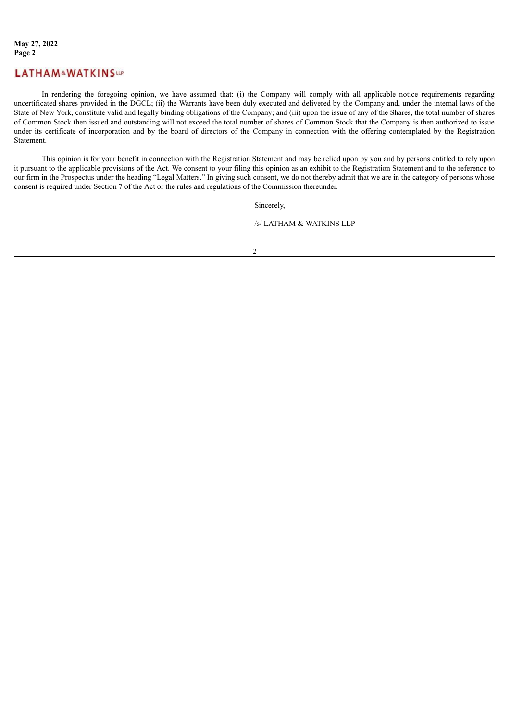## **LATHAM&WATKINSLP**

In rendering the foregoing opinion, we have assumed that: (i) the Company will comply with all applicable notice requirements regarding uncertificated shares provided in the DGCL; (ii) the Warrants have been duly executed and delivered by the Company and, under the internal laws of the State of New York, constitute valid and legally binding obligations of the Company; and (iii) upon the issue of any of the Shares, the total number of shares of Common Stock then issued and outstanding will not exceed the total number of shares of Common Stock that the Company is then authorized to issue under its certificate of incorporation and by the board of directors of the Company in connection with the offering contemplated by the Registration Statement.

This opinion is for your benefit in connection with the Registration Statement and may be relied upon by you and by persons entitled to rely upon it pursuant to the applicable provisions of the Act. We consent to your filing this opinion as an exhibit to the Registration Statement and to the reference to our firm in the Prospectus under the heading "Legal Matters." In giving such consent, we do not thereby admit that we are in the category of persons whose consent is required under Section 7 of the Act or the rules and regulations of the Commission thereunder.

Sincerely,

/s/ LATHAM & WATKINS LLP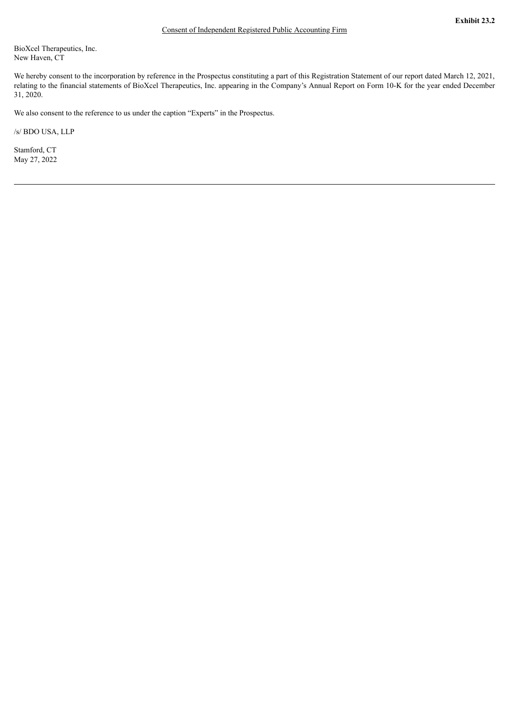<span id="page-31-0"></span>BioXcel Therapeutics, Inc. New Haven, CT

We hereby consent to the incorporation by reference in the Prospectus constituting a part of this Registration Statement of our report dated March 12, 2021, relating to the financial statements of BioXcel Therapeutics, Inc. appearing in the Company's Annual Report on Form 10-K for the year ended December 31, 2020.

We also consent to the reference to us under the caption "Experts" in the Prospectus.

/s/ BDO USA, LLP

Stamford, CT May 27, 2022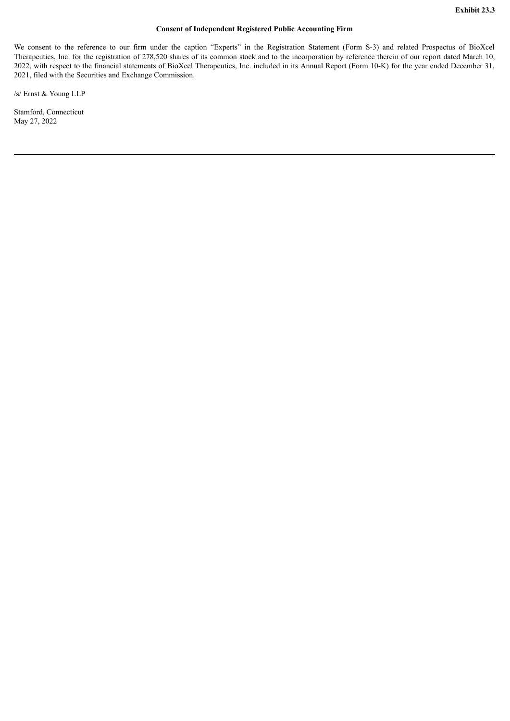## **Consent of Independent Registered Public Accounting Firm**

<span id="page-32-0"></span>We consent to the reference to our firm under the caption "Experts" in the Registration Statement (Form S-3) and related Prospectus of BioXcel Therapeutics, Inc. for the registration of 278,520 shares of its common stock and to the incorporation by reference therein of our report dated March 10, 2022, with respect to the financial statements of BioXcel Therapeutics, Inc. included in its Annual Report (Form 10-K) for the year ended December 31, 2021, filed with the Securities and Exchange Commission.

/s/ Ernst & Young LLP

Stamford, Connecticut May 27, 2022